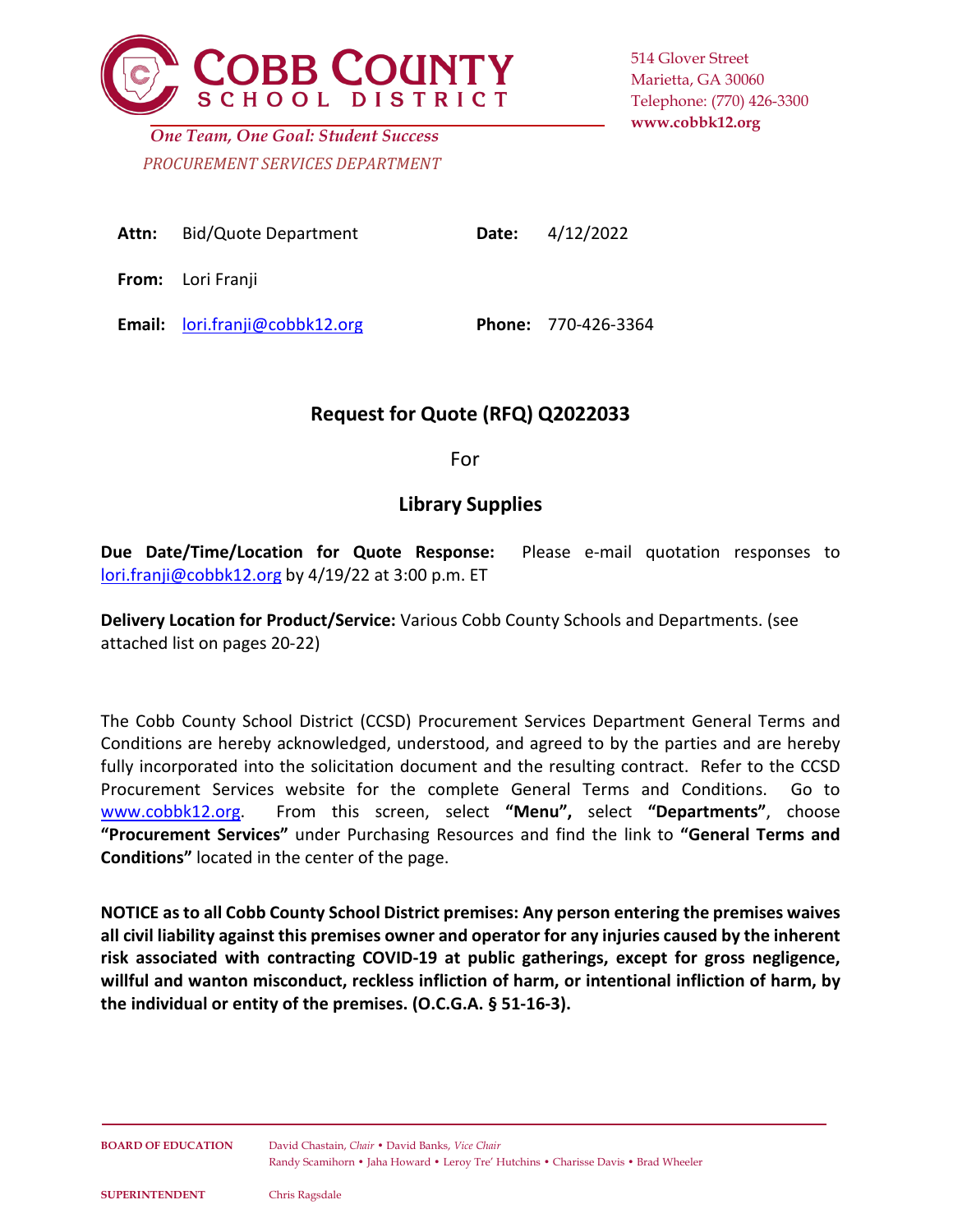

514 Glover Street Marietta, GA 30060 Telephone: (770) 426-3300 **www.cobbk12.org**

*PROCUREMENT SERVICES DEPARTMENT One Team, One Goal: Student Success*

| <b>Attn:</b> Bid/Quote Department | <b>Date:</b> $4/12/2022$ |
|-----------------------------------|--------------------------|
| <b>From:</b> Lori Franji          |                          |

**Email:** [lori.franji@cobbk12.org](mailto:lori.franji@cobbk12.org) **Phone:** 770-426-3364

# **Request for Quote (RFQ) Q2022033**

For

# **Library Supplies**

**Due Date/Time/Location for Quote Response:** Please e-mail quotation responses to [lori.franji@cobbk12.org](mailto:lori.franji@cobbk12.org) by 4/19/22 at 3:00 p.m. ET

**Delivery Location for Product/Service:** Various Cobb County Schools and Departments. (see attached list on pages 20-22)

The Cobb County School District (CCSD) Procurement Services Department General Terms and Conditions are hereby acknowledged, understood, and agreed to by the parties and are hereby fully incorporated into the solicitation document and the resulting contract. Refer to the CCSD Procurement Services website for the complete General Terms and Conditions. Go to [www.cobbk12.org.](http://www.cobbk12.org/) From this screen, select **"Menu",** select **"Departments"**, choose **"Procurement Services"** under Purchasing Resources and find the link to **"General Terms and Conditions"** located in the center of the page.

**NOTICE as to all Cobb County School District premises: Any person entering the premises waives all civil liability against this premises owner and operator for any injuries caused by the inherent risk associated with contracting COVID-19 at public gatherings, except for gross negligence, willful and wanton misconduct, reckless infliction of harm, or intentional infliction of harm, by the individual or entity of the premises. (O.C.G.A. § 51-16-3).**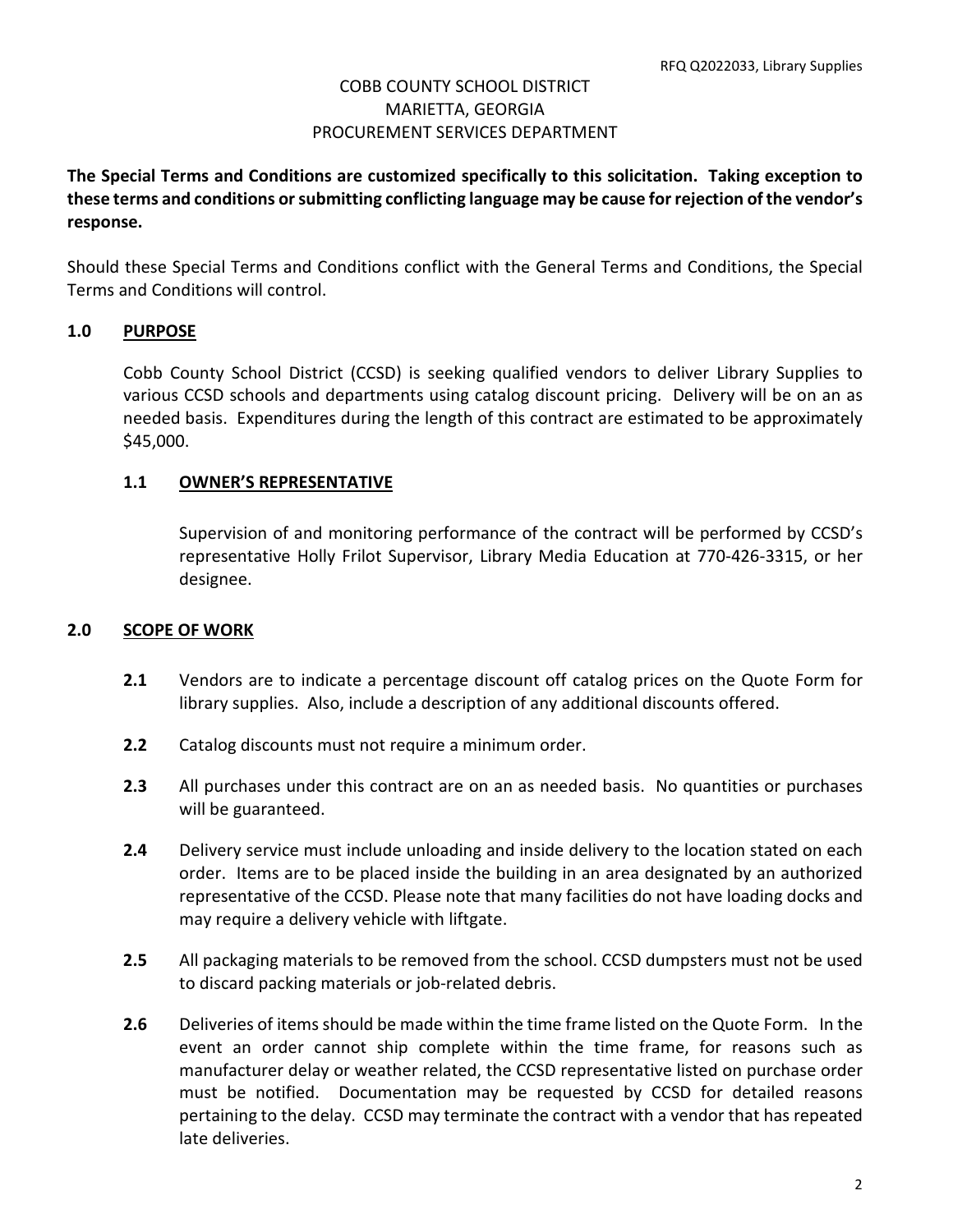**The Special Terms and Conditions are customized specifically to this solicitation. Taking exception to these terms and conditions or submitting conflicting language may be cause for rejection of the vendor's response.**

Should these Special Terms and Conditions conflict with the General Terms and Conditions, the Special Terms and Conditions will control.

#### **1.0 PURPOSE**

Cobb County School District (CCSD) is seeking qualified vendors to deliver Library Supplies to various CCSD schools and departments using catalog discount pricing. Delivery will be on an as needed basis. Expenditures during the length of this contract are estimated to be approximately \$45,000.

#### **1.1 OWNER'S REPRESENTATIVE**

Supervision of and monitoring performance of the contract will be performed by CCSD's representative Holly Frilot Supervisor, Library Media Education at 770-426-3315, or her designee.

#### **2.0 SCOPE OF WORK**

- **2.1** Vendors are to indicate a percentage discount off catalog prices on the Quote Form for library supplies. Also, include a description of any additional discounts offered.
- **2.2** Catalog discounts must not require a minimum order.
- **2.3** All purchases under this contract are on an as needed basis. No quantities or purchases will be guaranteed.
- **2.4** Delivery service must include unloading and inside delivery to the location stated on each order. Items are to be placed inside the building in an area designated by an authorized representative of the CCSD. Please note that many facilities do not have loading docks and may require a delivery vehicle with liftgate.
- **2.5** All packaging materials to be removed from the school. CCSD dumpsters must not be used to discard packing materials or job-related debris.
- **2.6** Deliveries of items should be made within the time frame listed on the Quote Form. In the event an order cannot ship complete within the time frame, for reasons such as manufacturer delay or weather related, the CCSD representative listed on purchase order must be notified. Documentation may be requested by CCSD for detailed reasons pertaining to the delay. CCSD may terminate the contract with a vendor that has repeated late deliveries.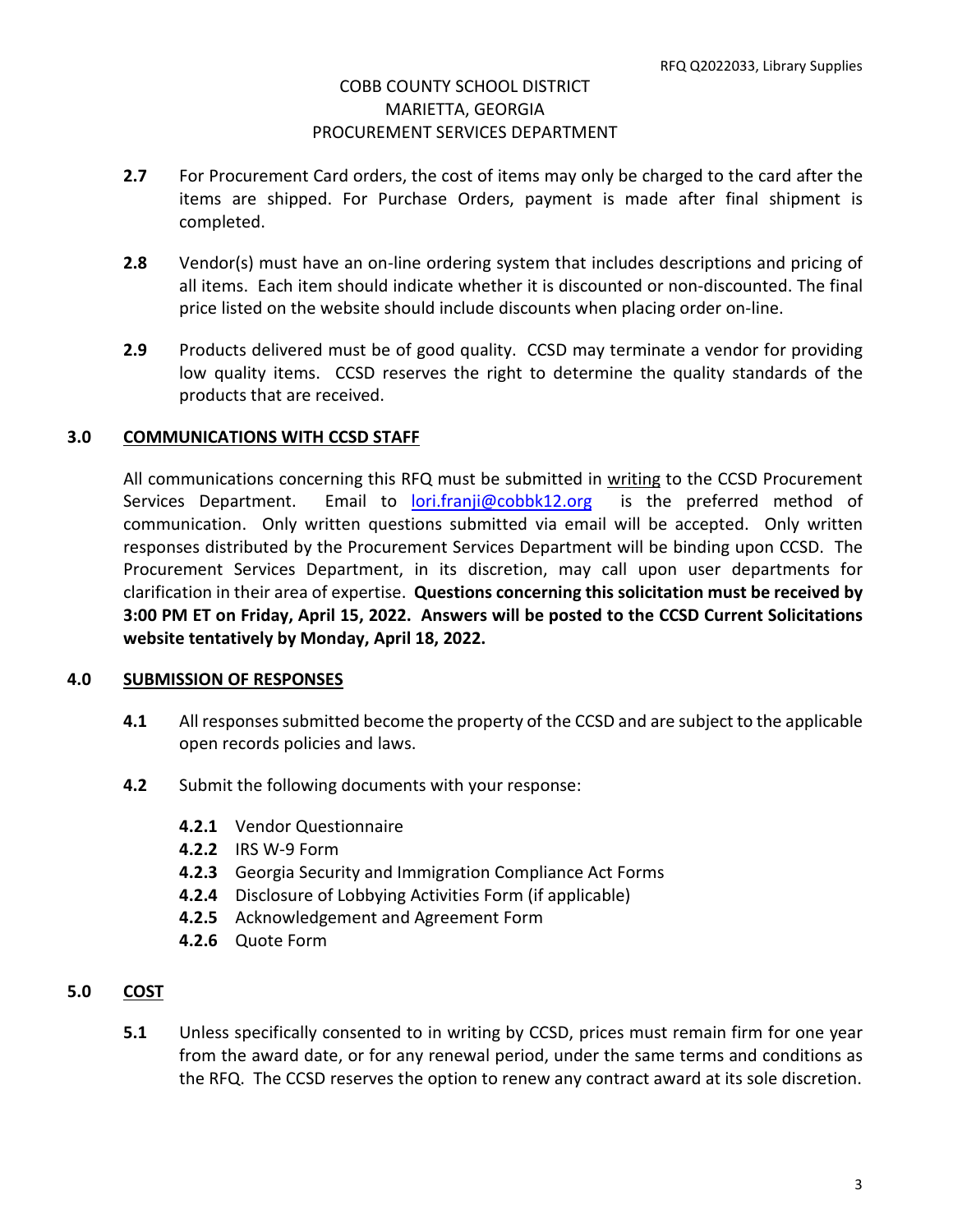- **2.7** For Procurement Card orders, the cost of items may only be charged to the card after the items are shipped. For Purchase Orders, payment is made after final shipment is completed.
- **2.8** Vendor(s) must have an on-line ordering system that includes descriptions and pricing of all items. Each item should indicate whether it is discounted or non-discounted. The final price listed on the website should include discounts when placing order on-line.
- **2.9** Products delivered must be of good quality. CCSD may terminate a vendor for providing low quality items. CCSD reserves the right to determine the quality standards of the products that are received.

## **3.0 COMMUNICATIONS WITH CCSD STAFF**

All communications concerning this RFQ must be submitted in writing to the CCSD Procurement Services Department. Email to [lori.franji@cobbk12.org](mailto:lori.franji@cobbk12.org) is the preferred method of communication. Only written questions submitted via email will be accepted. Only written responses distributed by the Procurement Services Department will be binding upon CCSD. The Procurement Services Department, in its discretion, may call upon user departments for clarification in their area of expertise. **Questions concerning this solicitation must be received by 3:00 PM ET on Friday, April 15, 2022. Answers will be posted to the CCSD Current Solicitations website tentatively by Monday, April 18, 2022.** 

## **4.0 SUBMISSION OF RESPONSES**

- **4.1** All responses submitted become the property of the CCSD and are subject to the applicable open records policies and laws.
- **4.2** Submit the following documents with your response:
	- **4.2.1** Vendor Questionnaire
	- **4.2.2** IRS W-9 Form
	- **4.2.3** Georgia Security and Immigration Compliance Act Forms
	- **4.2.4** Disclosure of Lobbying Activities Form (if applicable)
	- **4.2.5** Acknowledgement and Agreement Form
	- **4.2.6** Quote Form

## **5.0 COST**

**5.1** Unless specifically consented to in writing by CCSD, prices must remain firm for one year from the award date, or for any renewal period, under the same terms and conditions as the RFQ. The CCSD reserves the option to renew any contract award at its sole discretion.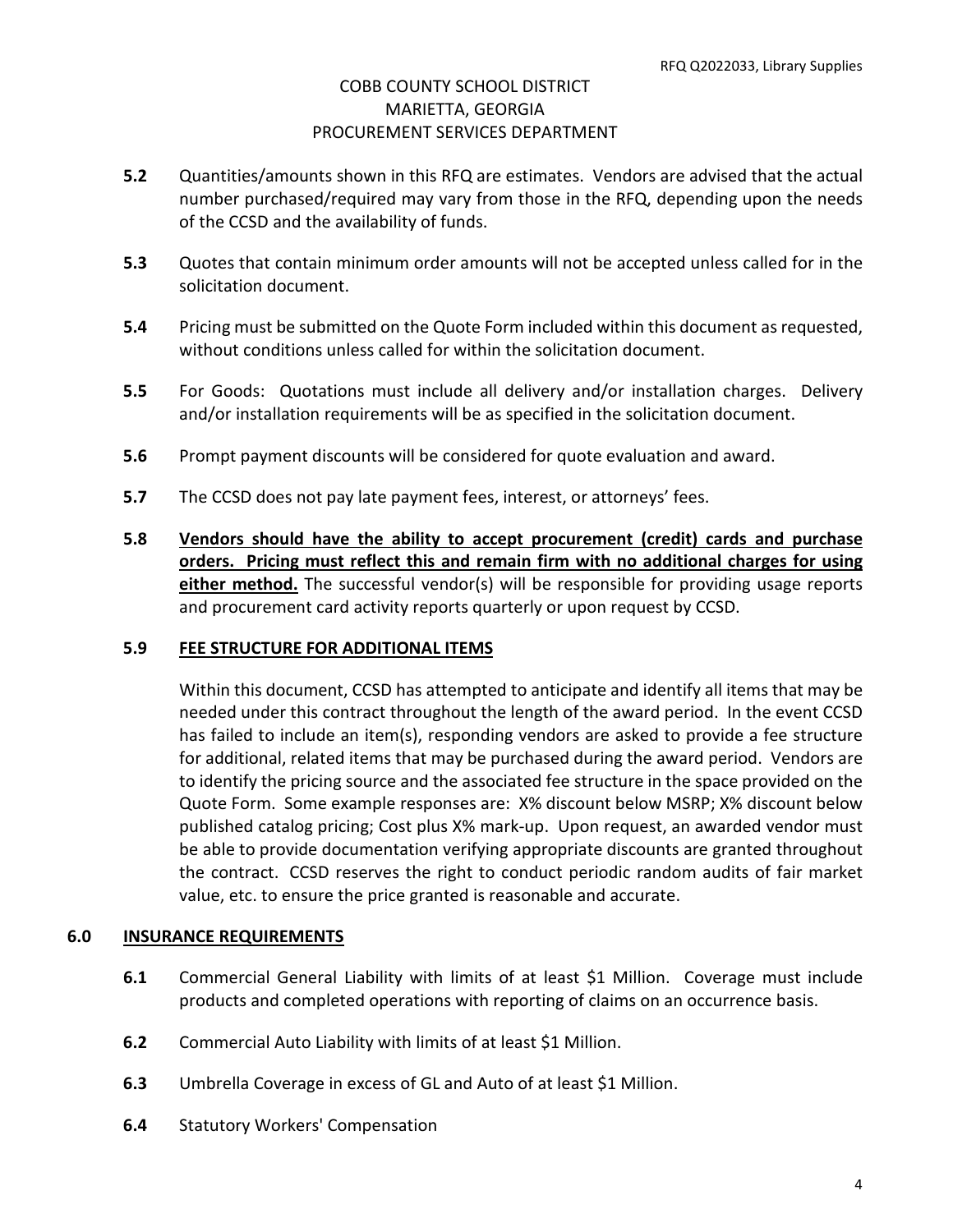- **5.2** Quantities/amounts shown in this RFQ are estimates. Vendors are advised that the actual number purchased/required may vary from those in the RFQ, depending upon the needs of the CCSD and the availability of funds.
- **5.3** Quotes that contain minimum order amounts will not be accepted unless called for in the solicitation document.
- **5.4** Pricing must be submitted on the Quote Form included within this document as requested, without conditions unless called for within the solicitation document.
- **5.5** For Goods: Quotations must include all delivery and/or installation charges. Delivery and/or installation requirements will be as specified in the solicitation document.
- **5.6** Prompt payment discounts will be considered for quote evaluation and award.
- **5.7** The CCSD does not pay late payment fees, interest, or attorneys' fees.
- **5.8 Vendors should have the ability to accept procurement (credit) cards and purchase orders. Pricing must reflect this and remain firm with no additional charges for using either method.** The successful vendor(s) will be responsible for providing usage reports and procurement card activity reports quarterly or upon request by CCSD.

#### **5.9 FEE STRUCTURE FOR ADDITIONAL ITEMS**

Within this document, CCSD has attempted to anticipate and identify all items that may be needed under this contract throughout the length of the award period. In the event CCSD has failed to include an item(s), responding vendors are asked to provide a fee structure for additional, related items that may be purchased during the award period. Vendors are to identify the pricing source and the associated fee structure in the space provided on the Quote Form. Some example responses are: X% discount below MSRP; X% discount below published catalog pricing; Cost plus X% mark-up. Upon request, an awarded vendor must be able to provide documentation verifying appropriate discounts are granted throughout the contract. CCSD reserves the right to conduct periodic random audits of fair market value, etc. to ensure the price granted is reasonable and accurate.

#### **6.0 INSURANCE REQUIREMENTS**

- **6.1** Commercial General Liability with limits of at least \$1 Million. Coverage must include products and completed operations with reporting of claims on an occurrence basis.
- **6.2** Commercial Auto Liability with limits of at least \$1 Million.
- **6.3** Umbrella Coverage in excess of GL and Auto of at least \$1 Million.
- **6.4** Statutory Workers' Compensation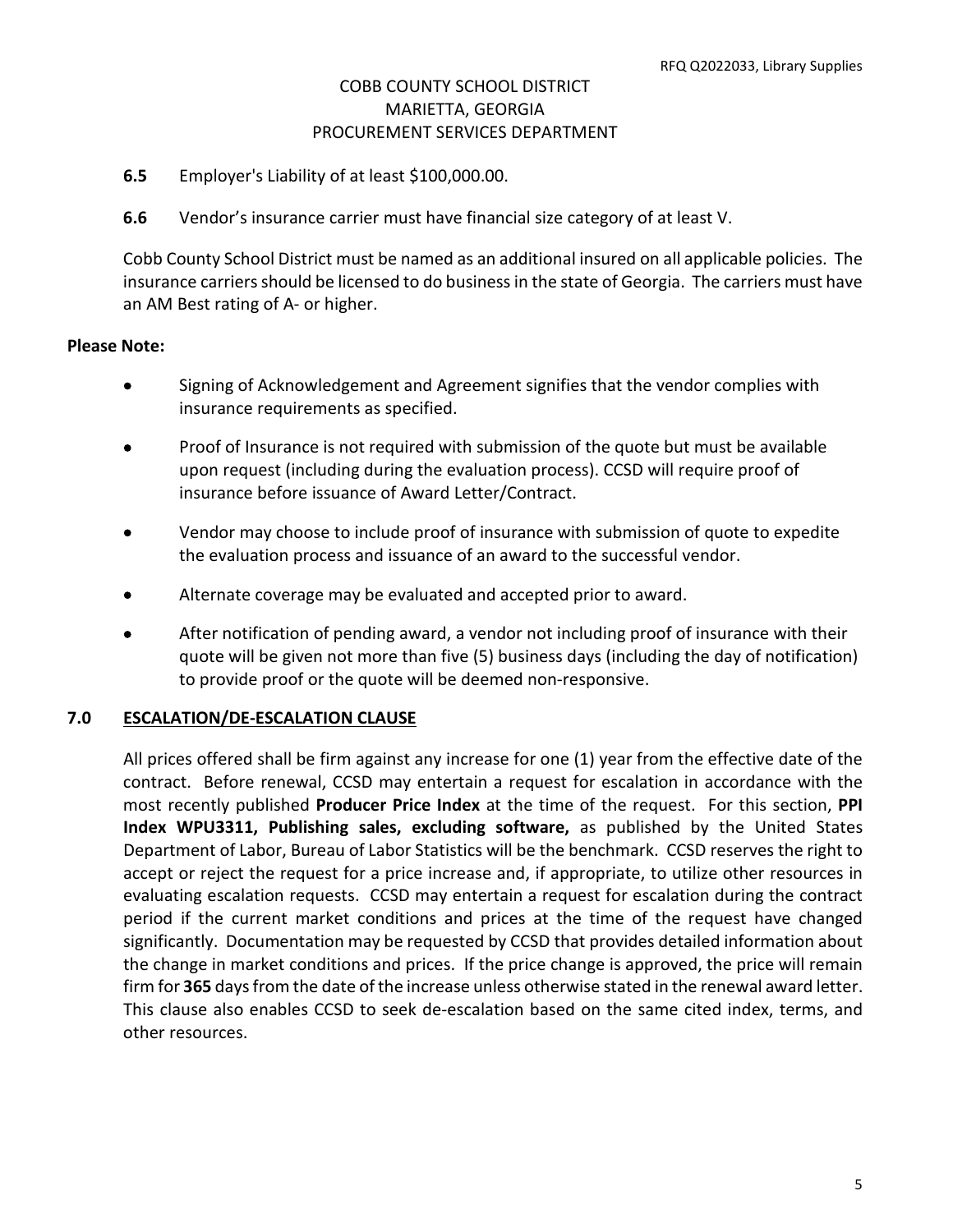- **6.5** Employer's Liability of at least \$100,000.00.
- **6.6** Vendor's insurance carrier must have financial size category of at least V.

Cobb County School District must be named as an additional insured on all applicable policies. The insurance carriers should be licensed to do business in the state of Georgia. The carriers must have an AM Best rating of A- or higher.

#### **Please Note:**

- Signing of Acknowledgement and Agreement signifies that the vendor complies with insurance requirements as specified.
- Proof of Insurance is not required with submission of the quote but must be available upon request (including during the evaluation process). CCSD will require proof of insurance before issuance of Award Letter/Contract.
- Vendor may choose to include proof of insurance with submission of quote to expedite the evaluation process and issuance of an award to the successful vendor.
- Alternate coverage may be evaluated and accepted prior to award.
- After notification of pending award, a vendor not including proof of insurance with their quote will be given not more than five (5) business days (including the day of notification) to provide proof or the quote will be deemed non-responsive.

## **7.0 ESCALATION/DE-ESCALATION CLAUSE**

All prices offered shall be firm against any increase for one (1) year from the effective date of the contract. Before renewal, CCSD may entertain a request for escalation in accordance with the most recently published **Producer Price Index** at the time of the request. For this section, **PPI Index WPU3311, Publishing sales, excluding software,** as published by the United States Department of Labor, Bureau of Labor Statistics will be the benchmark. CCSD reserves the right to accept or reject the request for a price increase and, if appropriate, to utilize other resources in evaluating escalation requests. CCSD may entertain a request for escalation during the contract period if the current market conditions and prices at the time of the request have changed significantly. Documentation may be requested by CCSD that provides detailed information about the change in market conditions and prices. If the price change is approved, the price will remain firm for **365** days from the date of the increase unless otherwise stated in the renewal award letter. This clause also enables CCSD to seek de-escalation based on the same cited index, terms, and other resources.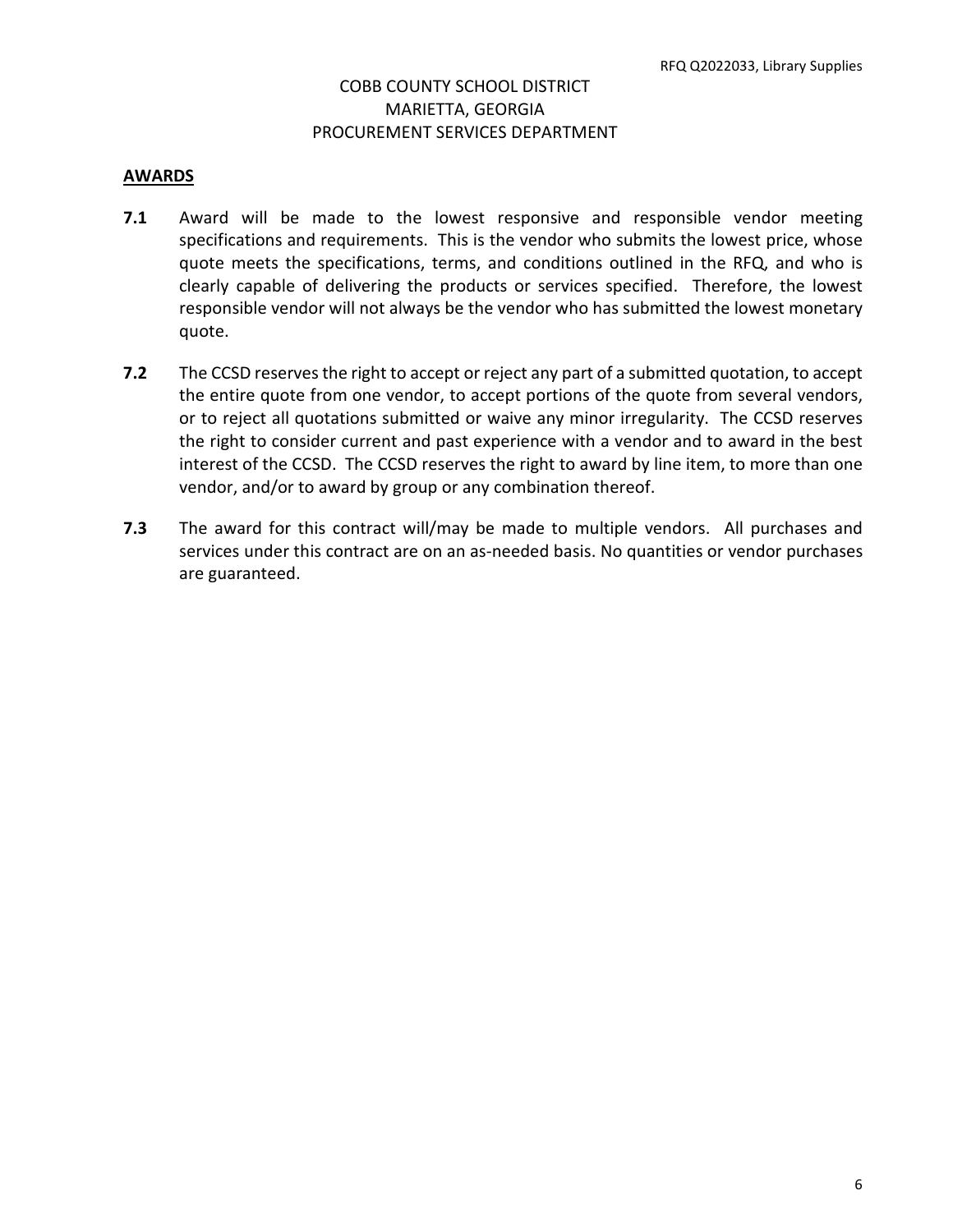#### **AWARDS**

- **7.1** Award will be made to the lowest responsive and responsible vendor meeting specifications and requirements. This is the vendor who submits the lowest price, whose quote meets the specifications, terms, and conditions outlined in the RFQ, and who is clearly capable of delivering the products or services specified. Therefore, the lowest responsible vendor will not always be the vendor who has submitted the lowest monetary quote.
- **7.2** The CCSD reserves the right to accept or reject any part of a submitted quotation, to accept the entire quote from one vendor, to accept portions of the quote from several vendors, or to reject all quotations submitted or waive any minor irregularity. The CCSD reserves the right to consider current and past experience with a vendor and to award in the best interest of the CCSD. The CCSD reserves the right to award by line item, to more than one vendor, and/or to award by group or any combination thereof.
- **7.3** The award for this contract will/may be made to multiple vendors. All purchases and services under this contract are on an as-needed basis. No quantities or vendor purchases are guaranteed.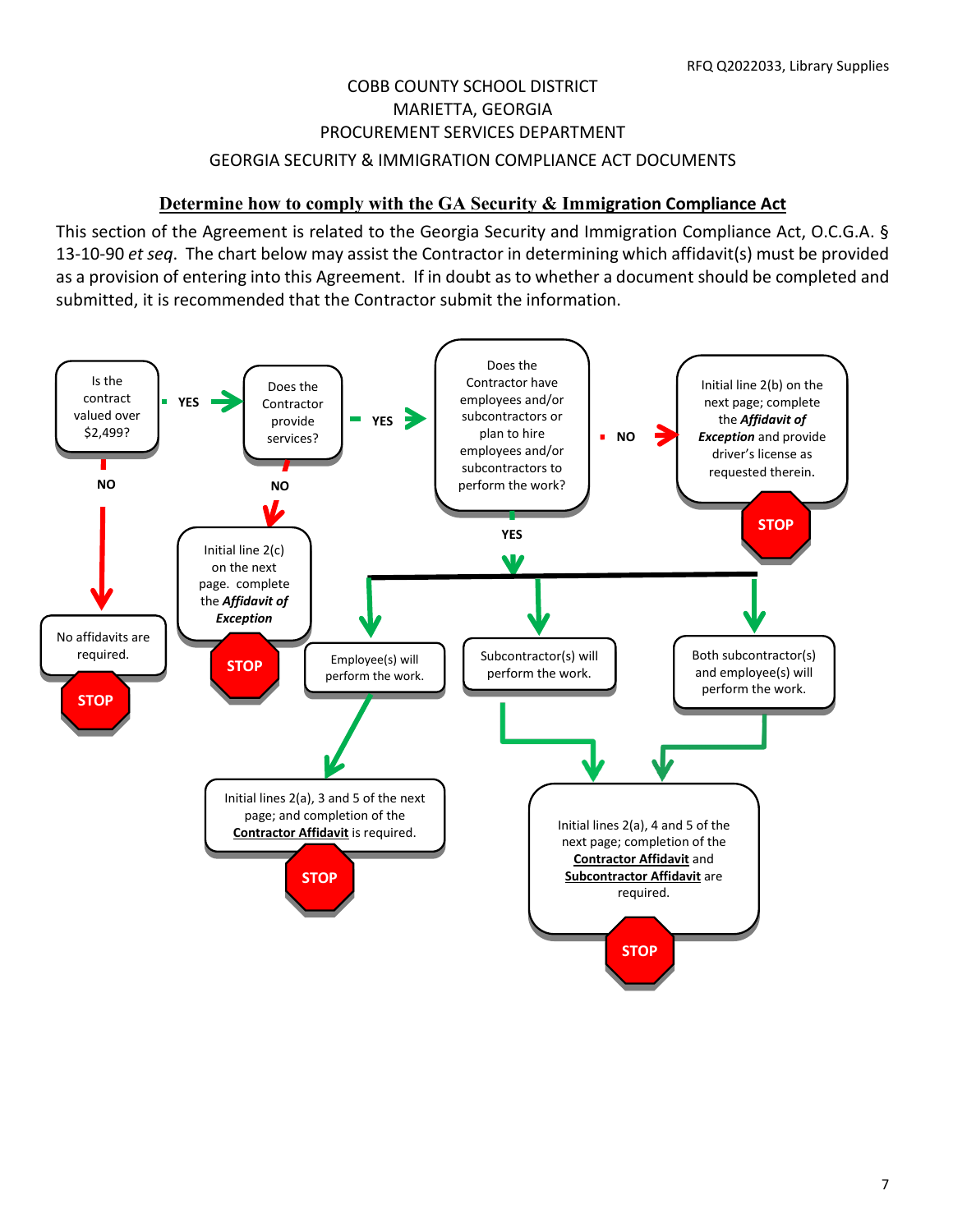# COBB COUNTY SCHOOL DISTRICT MARIETTA, GEORGIA PROCUREMENT SERVICES DEPARTMENT GEORGIA SECURITY & IMMIGRATION COMPLIANCE ACT DOCUMENTS

# **Determine how to comply with the GA Security & Immigration Compliance Act**

This section of the Agreement is related to the Georgia Security and Immigration Compliance Act, O.C.G.A. § 13-10-90 *et seq*. The chart below may assist the Contractor in determining which affidavit(s) must be provided as a provision of entering into this Agreement. If in doubt as to whether a document should be completed and submitted, it is recommended that the Contractor submit the information.

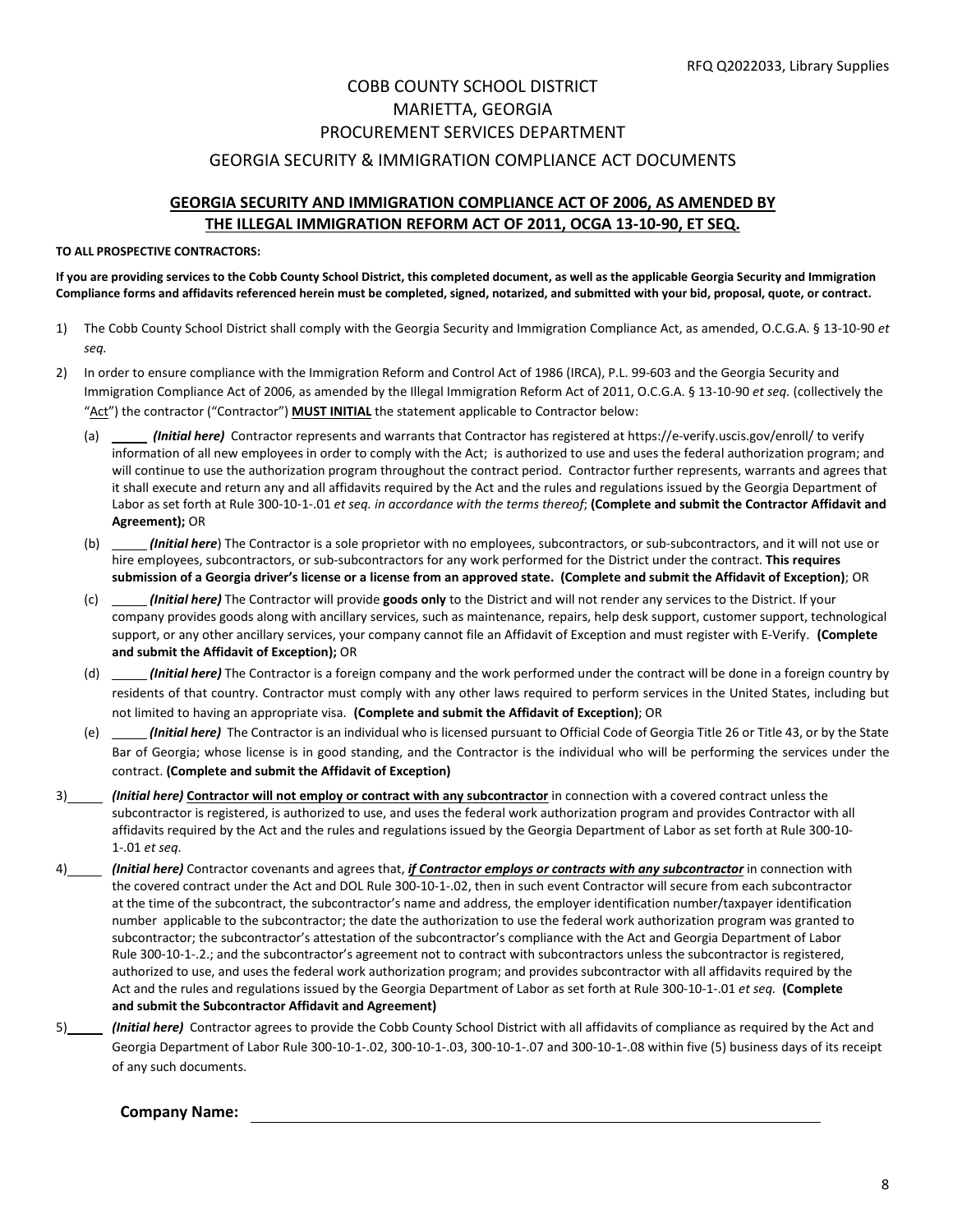#### GEORGIA SECURITY & IMMIGRATION COMPLIANCE ACT DOCUMENTS

#### **GEORGIA SECURITY AND IMMIGRATION COMPLIANCE ACT OF 2006, AS AMENDED BY THE ILLEGAL IMMIGRATION REFORM ACT OF 2011, OCGA 13-10-90, ET SEQ.**

#### **TO ALL PROSPECTIVE CONTRACTORS:**

**If you are providing services to the Cobb County School District, this completed document, as well as the applicable Georgia Security and Immigration Compliance forms and affidavits referenced herein must be completed, signed, notarized, and submitted with your bid, proposal, quote, or contract.**

- 1) The Cobb County School District shall comply with the Georgia Security and Immigration Compliance Act, as amended, O.C.G.A. § 13-10-90 *et seq.*
- 2) In order to ensure compliance with the Immigration Reform and Control Act of 1986 (IRCA), P.L. 99-603 and the Georgia Security and Immigration Compliance Act of 2006, as amended by the Illegal Immigration Reform Act of 2011, O.C.G.A. § 13-10-90 *et seq.* (collectively the "Act") the contractor ("Contractor") **MUST INITIAL** the statement applicable to Contractor below:
	- (a) *(Initial here)* Contractor represents and warrants that Contractor has registered a[t https://e-verify.uscis.gov/enroll/](https://e-verify.uscis.gov/enroll/) to verify information of all new employees in order to comply with the Act; is authorized to use and uses the federal authorization program; and will continue to use the authorization program throughout the contract period. Contractor further represents, warrants and agrees that it shall execute and return any and all affidavits required by the Act and the rules and regulations issued by the Georgia Department of Labor as set forth at Rule 300-10-1-.01 *et seq. in accordance with the terms thereof*; **(Complete and submit the Contractor Affidavit and Agreement);** OR
	- (b) *(Initial here*) The Contractor is a sole proprietor with no employees, subcontractors, or sub-subcontractors, and it will not use or hire employees, subcontractors, or sub-subcontractors for any work performed for the District under the contract. **This requires submission of a Georgia driver's license or a license from an approved state. (Complete and submit the Affidavit of Exception)**; OR
	- (c) *(Initial here)* The Contractor will provide **goods only** to the District and will not render any services to the District. If your company provides goods along with ancillary services, such as maintenance, repairs, help desk support, customer support, technological support, or any other ancillary services, your company cannot file an Affidavit of Exception and must register with E-Verify. **(Complete and submit the Affidavit of Exception);** OR
	- (d) *(Initial here)* The Contractor is a foreign company and the work performed under the contract will be done in a foreign country by residents of that country. Contractor must comply with any other laws required to perform services in the United States, including but not limited to having an appropriate visa. **(Complete and submit the Affidavit of Exception)**; OR
	- (e) *(Initial here)* The Contractor is an individual who is licensed pursuant to Official Code of Georgia Title 26 or Title 43, or by the State Bar of Georgia; whose license is in good standing, and the Contractor is the individual who will be performing the services under the contract. **(Complete and submit the Affidavit of Exception)**
- 3) *(Initial here)* **Contractor will not employ or contract with any subcontractor** in connection with a covered contract unless the subcontractor is registered, is authorized to use, and uses the federal work authorization program and provides Contractor with all affidavits required by the Act and the rules and regulations issued by the Georgia Department of Labor as set forth at Rule 300-10- 1-.01 *et seq.*
- 4) *(Initial here)* Contractor covenants and agrees that, *if Contractor employs or contracts with any subcontractor* in connection with the covered contract under the Act and DOL Rule 300-10-1-.02, then in such event Contractor will secure from each subcontractor at the time of the subcontract, the subcontractor's name and address, the employer identification number/taxpayer identification number applicable to the subcontractor; the date the authorization to use the federal work authorization program was granted to subcontractor; the subcontractor's attestation of the subcontractor's compliance with the Act and Georgia Department of Labor Rule 300-10-1-.2.; and the subcontractor's agreement not to contract with subcontractors unless the subcontractor is registered, authorized to use, and uses the federal work authorization program; and provides subcontractor with all affidavits required by the Act and the rules and regulations issued by the Georgia Department of Labor as set forth at Rule 300-10-1-.01 *et seq.* **(Complete and submit the Subcontractor Affidavit and Agreement)**
- 5) *(Initial here)* Contractor agrees to provide the Cobb County School District with all affidavits of compliance as required by the Act and Georgia Department of Labor Rule 300-10-1-.02, 300-10-1-.03, 300-10-1-.07 and 300-10-1-.08 within five (5) business days of its receipt of any such documents.

#### **Company Name:**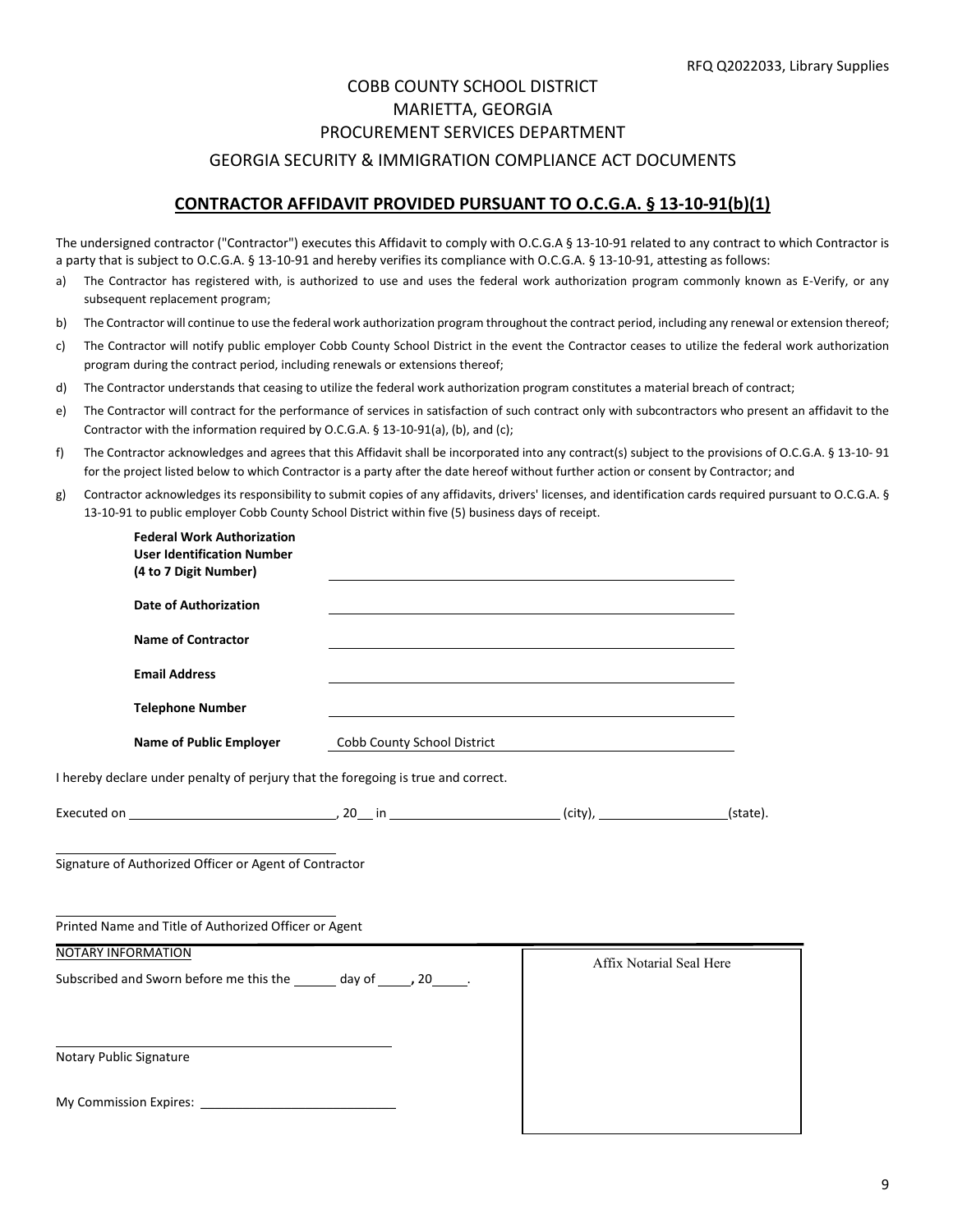# COBB COUNTY SCHOOL DISTRICT MARIETTA, GEORGIA PROCUREMENT SERVICES DEPARTMENT GEORGIA SECURITY & IMMIGRATION COMPLIANCE ACT DOCUMENTS

#### **CONTRACTOR AFFIDAVIT PROVIDED PURSUANT TO O.C.G.A. § 13-10-91(b)(1)**

The undersigned contractor ("Contractor") executes this Affidavit to comply with O.C.G.A § 13-10-91 related to any contract to which Contractor is a party that is subject to O.C.G.A. § 13-10-91 and hereby verifies its compliance with O.C.G.A. § 13-10-91, attesting as follows:

- a) The Contractor has registered with, is authorized to use and uses the federal work authorization program commonly known as E-Verify, or any subsequent replacement program;
- b) The Contractor will continue to use the federal work authorization program throughout the contract period, including any renewal or extension thereof;
- c) The Contractor will notify public employer Cobb County School District in the event the Contractor ceases to utilize the federal work authorization program during the contract period, including renewals or extensions thereof;
- d) The Contractor understands that ceasing to utilize the federal work authorization program constitutes a material breach of contract;
- e) The Contractor will contract for the performance of services in satisfaction of such contract only with subcontractors who present an affidavit to the Contractor with the information required by O.C.G.A. § 13-10-91(a), (b), and (c);
- f) The Contractor acknowledges and agrees that this Affidavit shall be incorporated into any contract(s) subject to the provisions of O.C.G.A. § 13-10- 91 for the project listed below to which Contractor is a party after the date hereof without further action or consent by Contractor; and
- g) Contractor acknowledges its responsibility to submit copies of any affidavits, drivers' licenses, and identification cards required pursuant to O.C.G.A. § 13-10-91 to public employer Cobb County School District within five (5) business days of receipt.

| <b>Federal Work Authorization</b><br><b>User Identification Number</b><br>(4 to 7 Digit Number) |                             |                          |  |
|-------------------------------------------------------------------------------------------------|-----------------------------|--------------------------|--|
| <b>Date of Authorization</b>                                                                    |                             |                          |  |
| <b>Name of Contractor</b>                                                                       |                             |                          |  |
| <b>Email Address</b>                                                                            |                             |                          |  |
| <b>Telephone Number</b>                                                                         |                             |                          |  |
| <b>Name of Public Employer</b>                                                                  | Cobb County School District |                          |  |
| I hereby declare under penalty of perjury that the foregoing is true and correct.               |                             |                          |  |
|                                                                                                 |                             |                          |  |
| Signature of Authorized Officer or Agent of Contractor                                          |                             |                          |  |
| Printed Name and Title of Authorized Officer or Agent                                           |                             |                          |  |
| NOTARY INFORMATION<br>Subscribed and Sworn before me this the ______ day of _____, 20_____.     |                             | Affix Notarial Seal Here |  |
|                                                                                                 |                             |                          |  |
| Notary Public Signature                                                                         |                             |                          |  |
|                                                                                                 |                             |                          |  |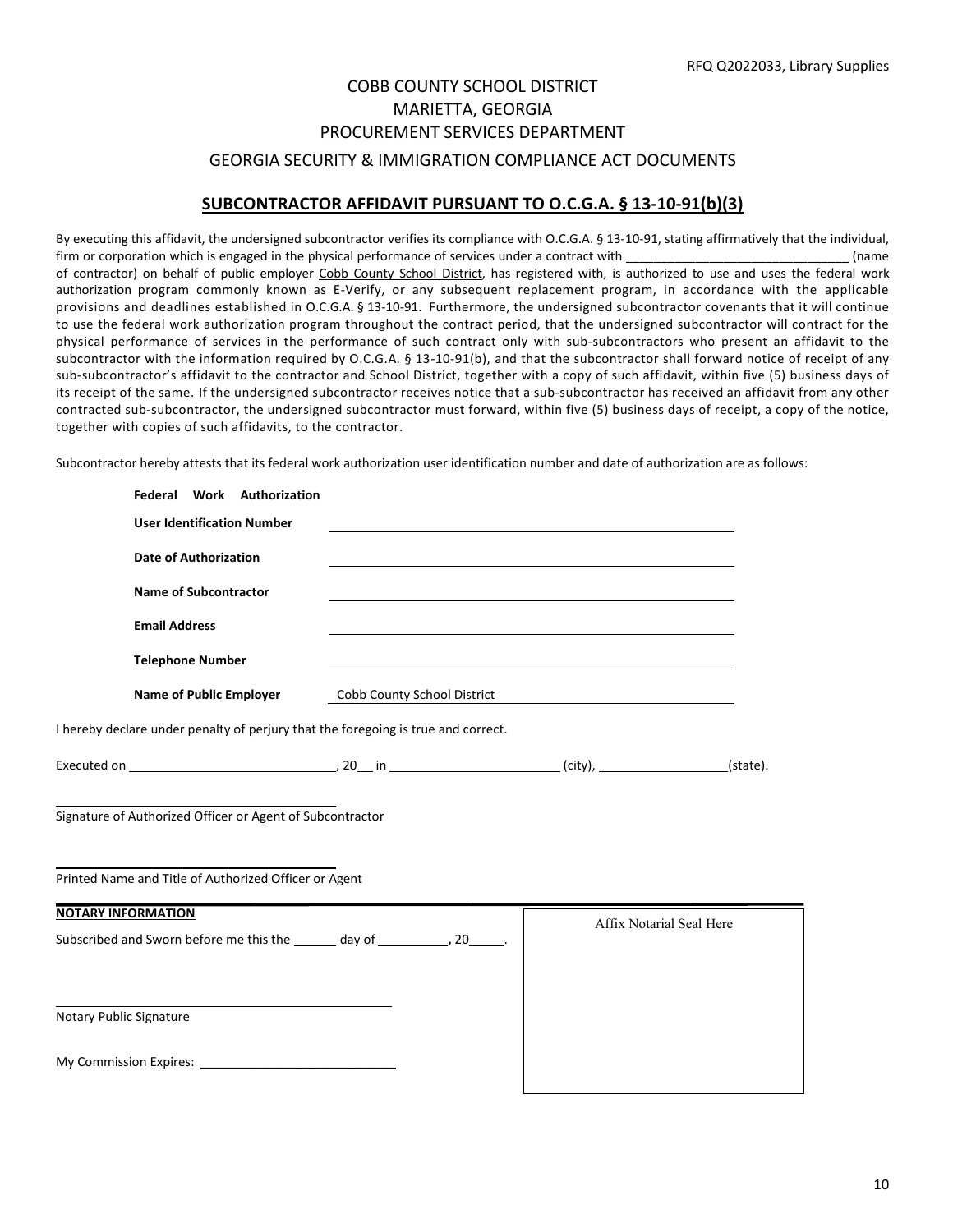# COBB COUNTY SCHOOL DISTRICT MARIETTA, GEORGIA PROCUREMENT SERVICES DEPARTMENT GEORGIA SECURITY & IMMIGRATION COMPLIANCE ACT DOCUMENTS

#### **SUBCONTRACTOR AFFIDAVIT PURSUANT TO O.C.G.A. § 13-10-91(b)(3)**

By executing this affidavit, the undersigned subcontractor verifies its compliance with O.C.G.A. § 13-10-91, stating affirmatively that the individual, firm or corporation which is engaged in the physical performance of services under a contract with  $($ name of contractor) on behalf of public employer Cobb County School District, has registered with, is authorized to use and uses the federal work authorization program commonly known as E-Verify, or any subsequent replacement program, in accordance with the applicable provisions and deadlines established in O.C.G.A. § 13-10-91. Furthermore, the undersigned subcontractor covenants that it will continue to use the federal work authorization program throughout the contract period, that the undersigned subcontractor will contract for the physical performance of services in the performance of such contract only with sub-subcontractors who present an affidavit to the subcontractor with the information required by O.C.G.A. § 13-10-91(b), and that the subcontractor shall forward notice of receipt of any sub-subcontractor's affidavit to the contractor and School District, together with a copy of such affidavit, within five (5) business days of its receipt of the same. If the undersigned subcontractor receives notice that a sub-subcontractor has received an affidavit from any other contracted sub-subcontractor, the undersigned subcontractor must forward, within five (5) business days of receipt, a copy of the notice, together with copies of such affidavits, to the contractor.

Subcontractor hereby attests that its federal work authorization user identification number and date of authorization are as follows:

| Federal Work Authorization                                                        |                             |                                                                                                                  |  |
|-----------------------------------------------------------------------------------|-----------------------------|------------------------------------------------------------------------------------------------------------------|--|
| <b>User Identification Number</b>                                                 |                             |                                                                                                                  |  |
| <b>Date of Authorization</b>                                                      |                             |                                                                                                                  |  |
| <b>Name of Subcontractor</b>                                                      |                             |                                                                                                                  |  |
| <b>Email Address</b>                                                              |                             | and the control of the control of the control of the control of the control of the control of the control of the |  |
| <b>Telephone Number</b>                                                           |                             |                                                                                                                  |  |
| <b>Name of Public Employer</b>                                                    | Cobb County School District |                                                                                                                  |  |
| I hereby declare under penalty of perjury that the foregoing is true and correct. |                             |                                                                                                                  |  |
|                                                                                   |                             |                                                                                                                  |  |
| Signature of Authorized Officer or Agent of Subcontractor                         |                             |                                                                                                                  |  |
| Printed Name and Title of Authorized Officer or Agent                             |                             |                                                                                                                  |  |
| <b>NOTARY INFORMATION</b>                                                         |                             | Affix Notarial Seal Here                                                                                         |  |
| Subscribed and Sworn before me this the _______ day of ___________, 20______.     |                             |                                                                                                                  |  |
|                                                                                   |                             |                                                                                                                  |  |
| Notary Public Signature                                                           |                             |                                                                                                                  |  |
|                                                                                   |                             |                                                                                                                  |  |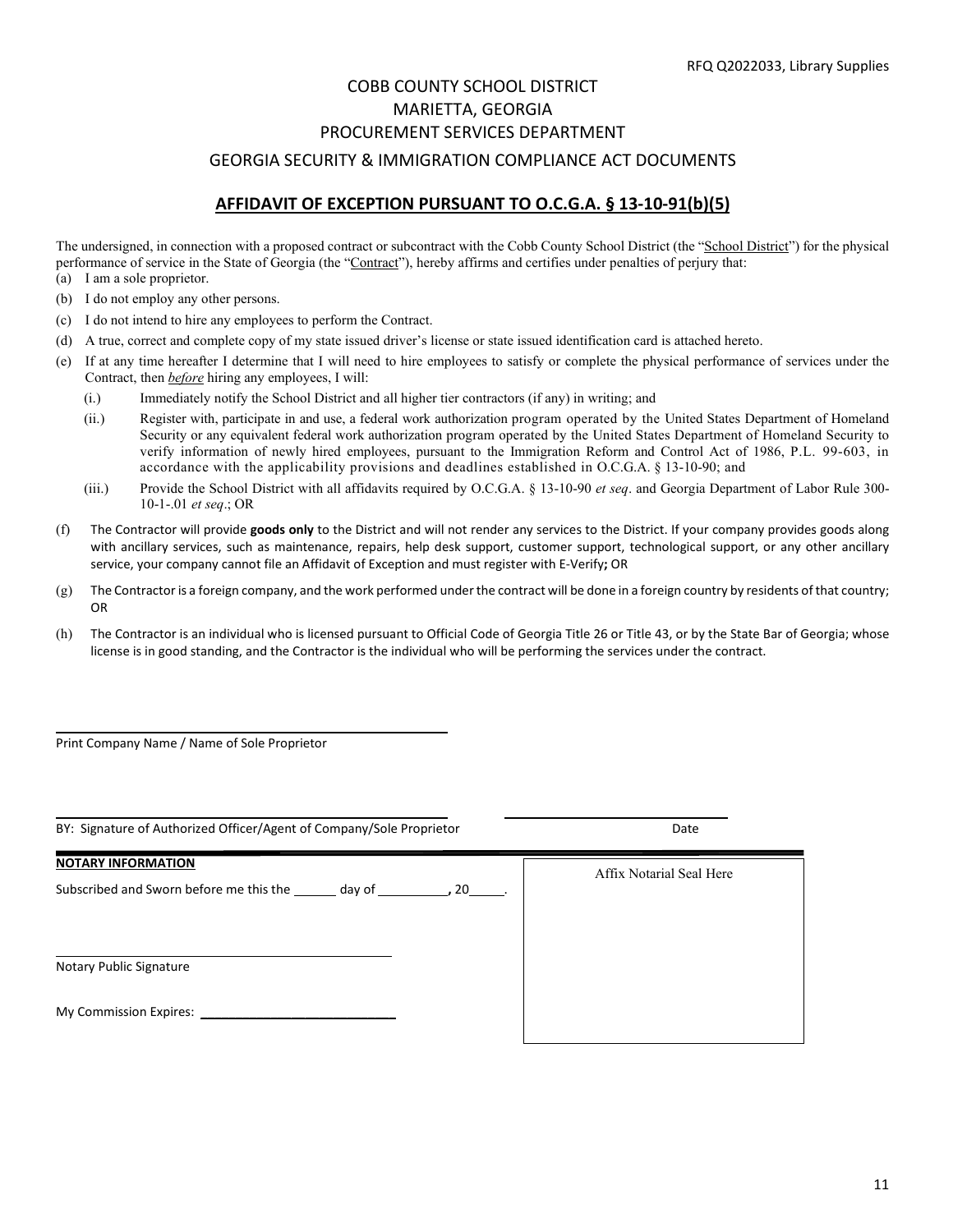#### GEORGIA SECURITY & IMMIGRATION COMPLIANCE ACT DOCUMENTS

#### **AFFIDAVIT OF EXCEPTION PURSUANT TO O.C.G.A. § 13-10-91(b)(5)**

The undersigned, in connection with a proposed contract or subcontract with the Cobb County School District (the "School District") for the physical performance of service in the State of Georgia (the "Contract"), hereby affirms and certifies under penalties of perjury that:

- (a) I am a sole proprietor.
- (b) I do not employ any other persons.
- (c) I do not intend to hire any employees to perform the Contract.
- (d) A true, correct and complete copy of my state issued driver's license or state issued identification card is attached hereto.
- (e) If at any time hereafter I determine that I will need to hire employees to satisfy or complete the physical performance of services under the Contract, then *before* hiring any employees, I will:
	- (i.) Immediately notify the School District and all higher tier contractors (if any) in writing; and
	- (ii.) Register with, participate in and use, a federal work authorization program operated by the United States Department of Homeland Security or any equivalent federal work authorization program operated by the United States Department of Homeland Security to verify information of newly hired employees, pursuant to the Immigration Reform and Control Act of 1986, P.L. 99-603, in accordance with the applicability provisions and deadlines established in O.C.G.A. § 13-10-90; and
	- (iii.) Provide the School District with all affidavits required by O.C.G.A. § 13-10-90 *et seq*. and Georgia Department of Labor Rule 300- 10-1-.01 *et seq*.; OR
- (f) The Contractor will provide **goods only** to the District and will not render any services to the District. If your company provides goods along with ancillary services, such as maintenance, repairs, help desk support, customer support, technological support, or any other ancillary service, your company cannot file an Affidavit of Exception and must register with E-Verify**;** OR
- (g) The Contractor is a foreign company, and the work performed under the contract will be done in a foreign country by residents of that country; OR
- (h) The Contractor is an individual who is licensed pursuant to Official Code of Georgia Title 26 or Title 43, or by the State Bar of Georgia; whose license is in good standing, and the Contractor is the individual who will be performing the services under the contract.

Print Company Name / Name of Sole Proprietor

 $\overline{\phantom{0}}$ 

| BY: Signature of Authorized Officer/Agent of Company/Sole Proprietor                          | Date                     |
|-----------------------------------------------------------------------------------------------|--------------------------|
| <b>NOTARY INFORMATION</b><br>Subscribed and Sworn before me this the day of the set of 20 set | Affix Notarial Seal Here |
| Notary Public Signature                                                                       |                          |
|                                                                                               |                          |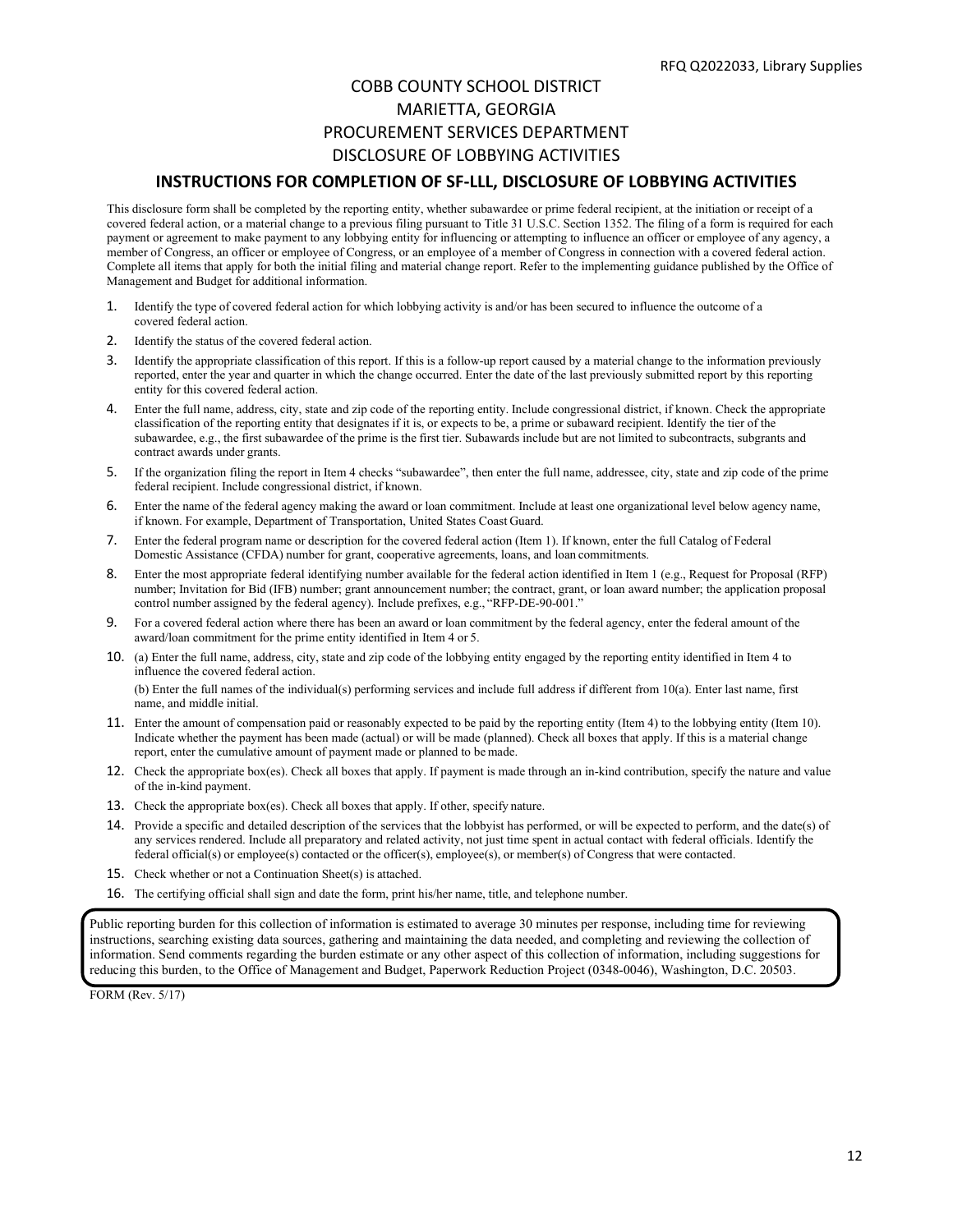# COBB COUNTY SCHOOL DISTRICT MARIETTA, GEORGIA PROCUREMENT SERVICES DEPARTMENT DISCLOSURE OF LOBBYING ACTIVITIES

#### **INSTRUCTIONS FOR COMPLETION OF SF-LLL, DISCLOSURE OF LOBBYING ACTIVITIES**

This disclosure form shall be completed by the reporting entity, whether subawardee or prime federal recipient, at the initiation or receipt of a covered federal action, or a material change to a previous filing pursuant to Title 31 U.S.C. Section 1352. The filing of a form is required for each payment or agreement to make payment to any lobbying entity for influencing or attempting to influence an officer or employee of any agency, a member of Congress, an officer or employee of Congress, or an employee of a member of Congress in connection with a covered federal action. Complete all items that apply for both the initial filing and material change report. Refer to the implementing guidance published by the Office of Management and Budget for additional information.

- 1. Identify the type of covered federal action for which lobbying activity is and/or has been secured to influence the outcome of a covered federal action.
- 2. Identify the status of the covered federal action.
- 3. Identify the appropriate classification of this report. If this is a follow-up report caused by a material change to the information previously reported, enter the year and quarter in which the change occurred. Enter the date of the last previously submitted report by this reporting entity for this covered federal action.
- 4. Enter the full name, address, city, state and zip code of the reporting entity. Include congressional district, if known. Check the appropriate classification of the reporting entity that designates if it is, or expects to be, a prime or subaward recipient. Identify the tier of the subawardee, e.g., the first subawardee of the prime is the first tier. Subawards include but are not limited to subcontracts, subgrants and contract awards under grants.
- 5. If the organization filing the report in Item 4 checks "subawardee", then enter the full name, addressee, city, state and zip code of the prime federal recipient. Include congressional district, if known.
- 6. Enter the name of the federal agency making the award or loan commitment. Include at least one organizational level below agency name, if known. For example, Department of Transportation, United States Coast Guard.
- 7. Enter the federal program name or description for the covered federal action (Item 1). If known, enter the full Catalog of Federal Domestic Assistance (CFDA) number for grant, cooperative agreements, loans, and loan commitments.
- 8. Enter the most appropriate federal identifying number available for the federal action identified in Item 1 (e.g., Request for Proposal (RFP) number; Invitation for Bid (IFB) number; grant announcement number; the contract, grant, or loan award number; the application proposal control number assigned by the federal agency). Include prefixes, e.g., "RFP-DE-90-001."
- 9. For a covered federal action where there has been an award or loan commitment by the federal agency, enter the federal amount of the award/loan commitment for the prime entity identified in Item 4 or 5.
- 10. (a) Enter the full name, address, city, state and zip code of the lobbying entity engaged by the reporting entity identified in Item 4 to influence the covered federal action.

(b) Enter the full names of the individual(s) performing services and include full address if different from 10(a). Enter last name, first name, and middle initial.

- 11. Enter the amount of compensation paid or reasonably expected to be paid by the reporting entity (Item 4) to the lobbying entity (Item 10). Indicate whether the payment has been made (actual) or will be made (planned). Check all boxes that apply. If this is a material change report, enter the cumulative amount of payment made or planned to be made.
- 12. Check the appropriate box(es). Check all boxes that apply. If payment is made through an in-kind contribution, specify the nature and value of the in-kind payment.
- 13. Check the appropriate box(es). Check all boxes that apply. If other, specify nature.
- 14. Provide a specific and detailed description of the services that the lobbyist has performed, or will be expected to perform, and the date(s) of any services rendered. Include all preparatory and related activity, not just time spent in actual contact with federal officials. Identify the federal official(s) or employee(s) contacted or the officer(s), employee(s), or member(s) of Congress that were contacted.
- 15. Check whether or not a Continuation Sheet(s) is attached.
- 16. The certifying official shall sign and date the form, print his/her name, title, and telephone number.

Public reporting burden for this collection of information is estimated to average 30 minutes per response, including time for reviewing instructions, searching existing data sources, gathering and maintaining the data needed, and completing and reviewing the collection of information. Send comments regarding the burden estimate or any other aspect of this collection of information, including suggestions for reducing this burden, to the Office of Management and Budget, Paperwork Reduction Project (0348-0046), Washington, D.C. 20503.

FORM (Rev. 5/17)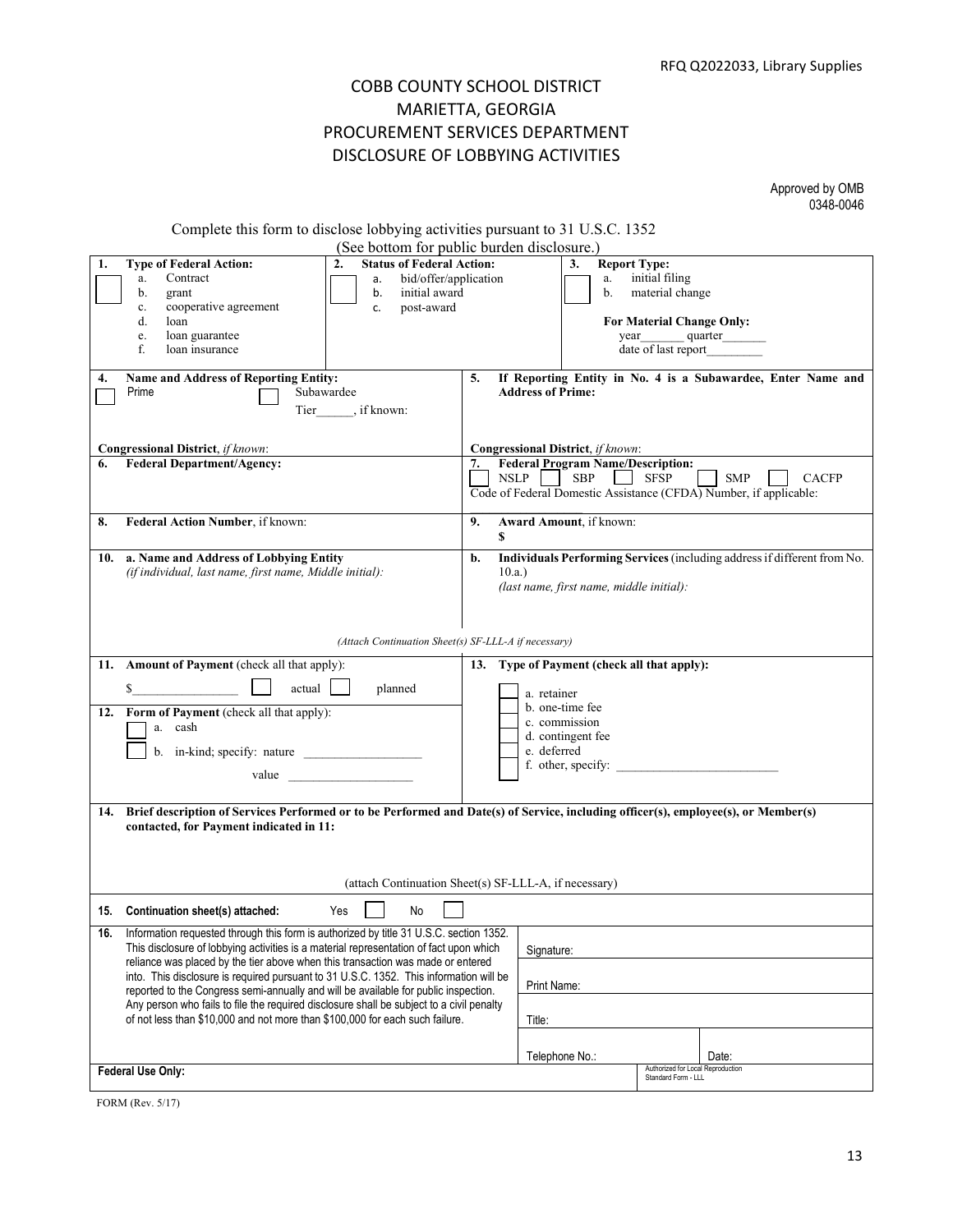# COBB COUNTY SCHOOL DISTRICT MARIETTA, GEORGIA PROCUREMENT SERVICES DEPARTMENT DISCLOSURE OF LOBBYING ACTIVITIES

Approved by OMB 0348-0046

|  |  |  | Complete this form to disclose lobbying activities pursuant to 31 U.S.C. 1352 |  |  |  |
|--|--|--|-------------------------------------------------------------------------------|--|--|--|
|--|--|--|-------------------------------------------------------------------------------|--|--|--|

|     | (See bottom for public burden disclosure.)                                                                                                                                       |                                   |                                                                          |  |
|-----|----------------------------------------------------------------------------------------------------------------------------------------------------------------------------------|-----------------------------------|--------------------------------------------------------------------------|--|
|     | <b>Status of Federal Action:</b><br><b>Type of Federal Action:</b><br>2.<br>bid/offer/application<br>Contract<br>а.<br>a.                                                        |                                   | 3.<br><b>Report Type:</b><br>initial filing<br>a.                        |  |
|     | b.<br>initial award<br>grant<br>b.                                                                                                                                               |                                   | material change<br>b.                                                    |  |
|     | cooperative agreement<br>post-award<br>$\mathbf{c}.$<br>c.                                                                                                                       |                                   |                                                                          |  |
|     | d.<br>loan                                                                                                                                                                       |                                   | For Material Change Only:                                                |  |
|     | loan guarantee<br>e.<br>f.<br>loan insurance                                                                                                                                     |                                   | quarter<br>year<br>date of last report                                   |  |
|     |                                                                                                                                                                                  |                                   |                                                                          |  |
| 4.  | Name and Address of Reporting Entity:                                                                                                                                            | 5.                                | If Reporting Entity in No. 4 is a Subawardee, Enter Name and             |  |
|     | Prime<br>Subawardee                                                                                                                                                              | <b>Address of Prime:</b>          |                                                                          |  |
|     | Tier ______, if known:                                                                                                                                                           |                                   |                                                                          |  |
|     |                                                                                                                                                                                  |                                   |                                                                          |  |
|     | <b>Congressional District</b> , if known:                                                                                                                                        | Congressional District, if known: |                                                                          |  |
| 6.  | <b>Federal Department/Agency:</b>                                                                                                                                                | 7.                                | <b>Federal Program Name/Description:</b>                                 |  |
|     |                                                                                                                                                                                  | NSLP                              | <b>SBP</b><br><b>SFSP</b><br><b>SMP</b><br><b>CACFP</b>                  |  |
|     |                                                                                                                                                                                  |                                   | Code of Federal Domestic Assistance (CFDA) Number, if applicable:        |  |
| 8.  | Federal Action Number, if known:                                                                                                                                                 | 9.                                | Award Amount, if known:                                                  |  |
|     |                                                                                                                                                                                  | S                                 |                                                                          |  |
|     | 10. a. Name and Address of Lobbying Entity                                                                                                                                       | b.                                | Individuals Performing Services (including address if different from No. |  |
|     | (if individual, last name, first name, Middle initial):                                                                                                                          | 10.a.                             |                                                                          |  |
|     |                                                                                                                                                                                  |                                   | (last name, first name, middle initial):                                 |  |
|     |                                                                                                                                                                                  |                                   |                                                                          |  |
|     |                                                                                                                                                                                  |                                   |                                                                          |  |
|     | (Attach Continuation Sheet(s) SF-LLL-A if necessary)                                                                                                                             |                                   |                                                                          |  |
|     | 11. Amount of Payment (check all that apply):                                                                                                                                    |                                   | 13. Type of Payment (check all that apply):                              |  |
|     | actual<br>\$<br>planned                                                                                                                                                          | a. retainer                       |                                                                          |  |
|     |                                                                                                                                                                                  |                                   | b. one-time fee                                                          |  |
|     | 12. Form of Payment (check all that apply):<br>a. cash                                                                                                                           | c. commission                     |                                                                          |  |
|     |                                                                                                                                                                                  |                                   | d. contingent fee                                                        |  |
|     | b. in-kind; specify: nature                                                                                                                                                      | e. deferred                       |                                                                          |  |
|     | value                                                                                                                                                                            | f. other, specify:                |                                                                          |  |
|     |                                                                                                                                                                                  |                                   |                                                                          |  |
| 14. | Brief description of Services Performed or to be Performed and Date(s) of Service, including officer(s), employee(s), or Member(s)                                               |                                   |                                                                          |  |
|     | contacted, for Payment indicated in 11:                                                                                                                                          |                                   |                                                                          |  |
|     |                                                                                                                                                                                  |                                   |                                                                          |  |
|     |                                                                                                                                                                                  |                                   |                                                                          |  |
|     | (attach Continuation Sheet(s) SF-LLL-A, if necessary)                                                                                                                            |                                   |                                                                          |  |
|     |                                                                                                                                                                                  |                                   |                                                                          |  |
|     | Yes<br>No<br>15. Continuation sheet(s) attached:                                                                                                                                 |                                   |                                                                          |  |
| 16. | Information requested through this form is authorized by title 31 U.S.C. section 1352.<br>This disclosure of lobbying activities is a material representation of fact upon which |                                   |                                                                          |  |
|     | reliance was placed by the tier above when this transaction was made or entered                                                                                                  | Signature:                        |                                                                          |  |
|     | into. This disclosure is required pursuant to 31 U.S.C. 1352. This information will be                                                                                           |                                   |                                                                          |  |
|     | reported to the Congress semi-annually and will be available for public inspection.                                                                                              | Print Name:                       |                                                                          |  |
|     | Any person who fails to file the required disclosure shall be subject to a civil penalty                                                                                         |                                   |                                                                          |  |
|     | of not less than \$10,000 and not more than \$100,000 for each such failure.                                                                                                     | Title:                            |                                                                          |  |
|     |                                                                                                                                                                                  |                                   |                                                                          |  |
|     |                                                                                                                                                                                  | Telephone No.:                    | Date:                                                                    |  |
|     | Federal Use Only:                                                                                                                                                                |                                   | Authorized for Local Reproduction<br>Standard Form - LLL                 |  |

FORM (Rev. 5/17)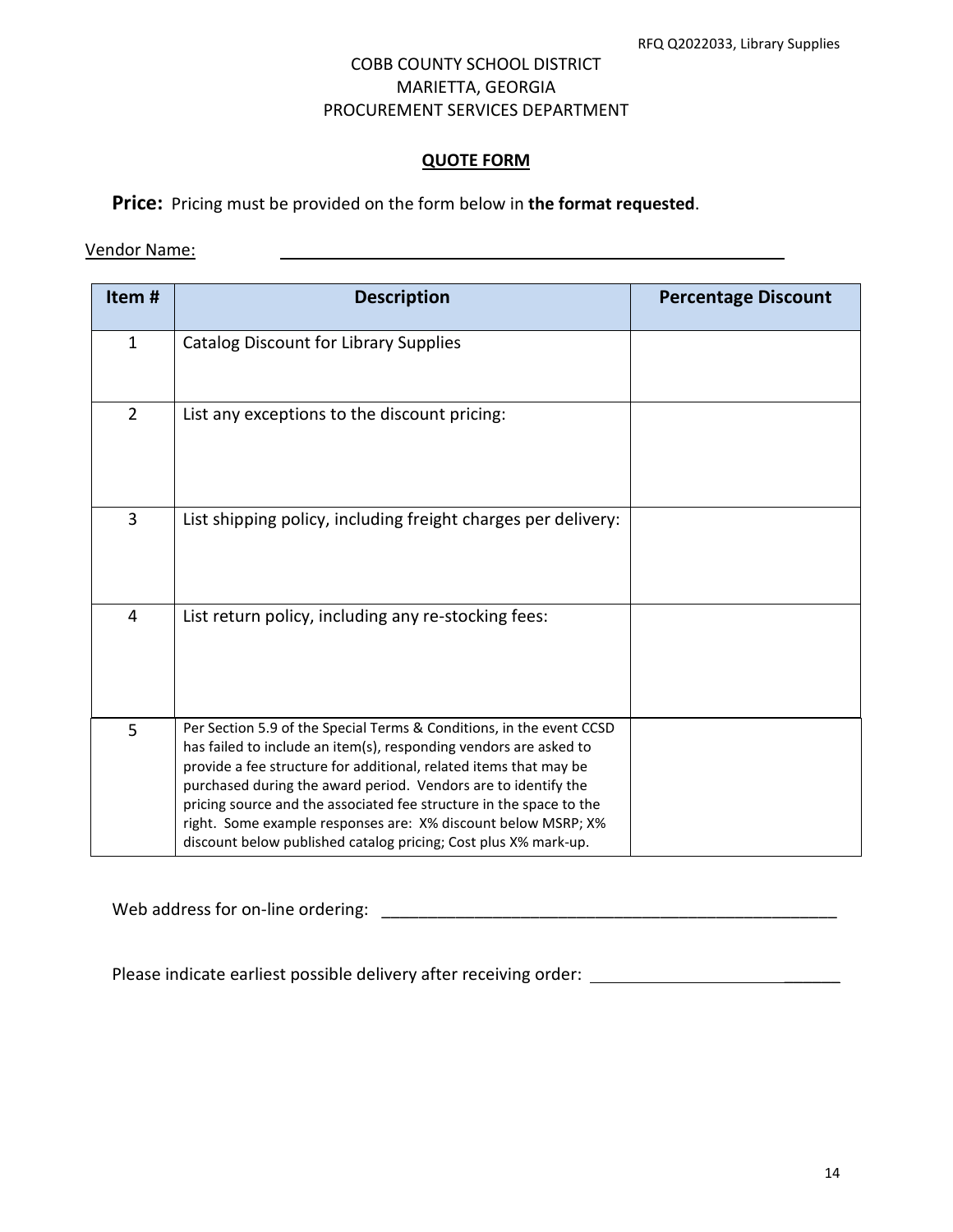#### **QUOTE FORM**

**Price:** Pricing must be provided on the form below in **the format requested**.

#### Vendor Name:

| Item#          | <b>Description</b>                                                                                                                                                                                                                                                                                                                                                                                                                                                                          | <b>Percentage Discount</b> |
|----------------|---------------------------------------------------------------------------------------------------------------------------------------------------------------------------------------------------------------------------------------------------------------------------------------------------------------------------------------------------------------------------------------------------------------------------------------------------------------------------------------------|----------------------------|
| $\mathbf{1}$   | <b>Catalog Discount for Library Supplies</b>                                                                                                                                                                                                                                                                                                                                                                                                                                                |                            |
| $\overline{2}$ | List any exceptions to the discount pricing:                                                                                                                                                                                                                                                                                                                                                                                                                                                |                            |
| 3              | List shipping policy, including freight charges per delivery:                                                                                                                                                                                                                                                                                                                                                                                                                               |                            |
| 4              | List return policy, including any re-stocking fees:                                                                                                                                                                                                                                                                                                                                                                                                                                         |                            |
| 5              | Per Section 5.9 of the Special Terms & Conditions, in the event CCSD<br>has failed to include an item(s), responding vendors are asked to<br>provide a fee structure for additional, related items that may be<br>purchased during the award period. Vendors are to identify the<br>pricing source and the associated fee structure in the space to the<br>right. Some example responses are: X% discount below MSRP; X%<br>discount below published catalog pricing; Cost plus X% mark-up. |                            |

Web address for on-line ordering: \_\_\_\_\_\_\_\_\_\_\_\_\_\_\_\_\_\_\_\_\_\_\_\_\_\_\_\_\_\_\_\_\_\_\_\_\_\_\_\_\_\_\_\_\_\_\_\_\_

Please indicate earliest possible delivery after receiving order: \_\_\_\_\_\_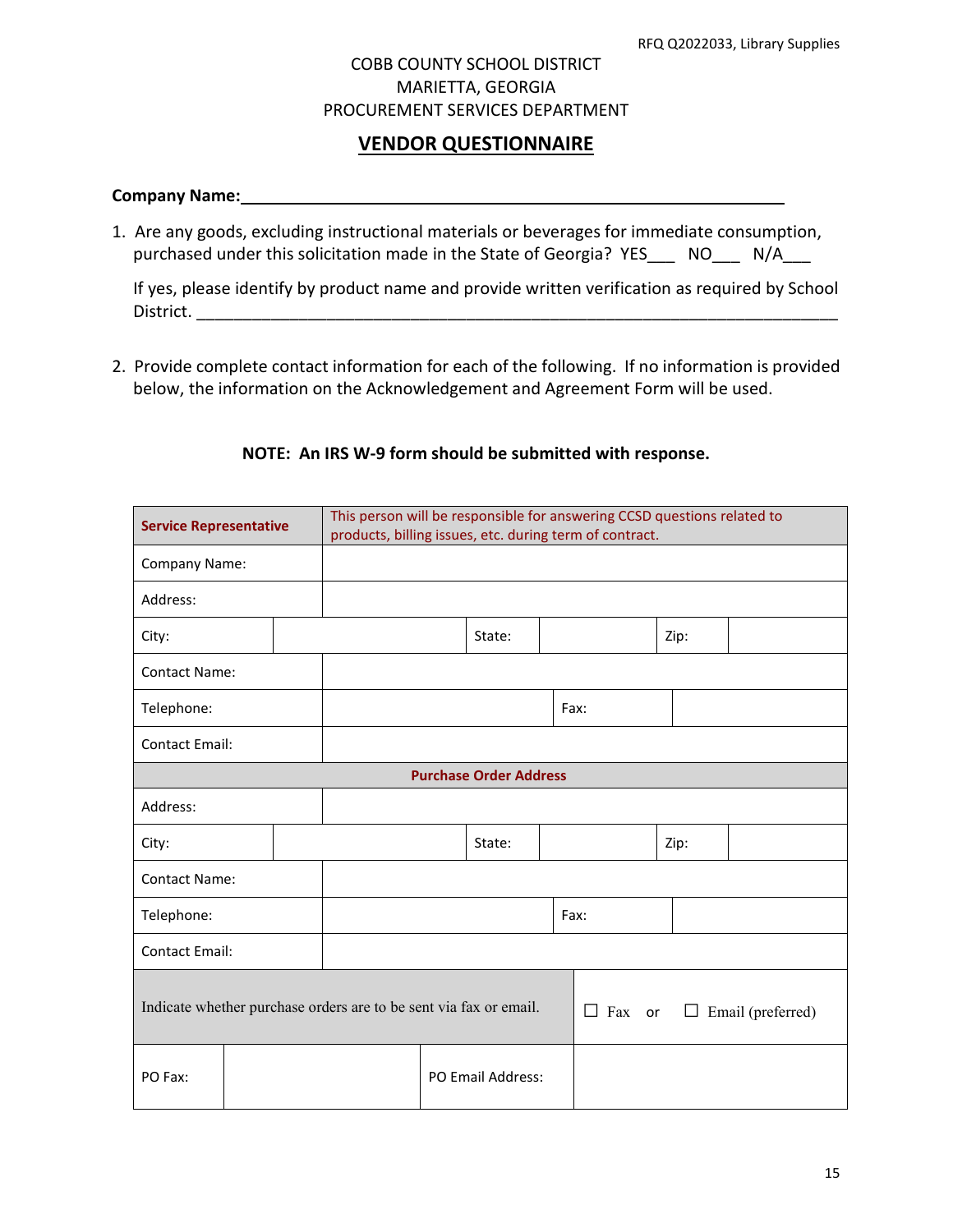# **VENDOR QUESTIONNAIRE**

#### **Company Name:**

1. Are any goods, excluding instructional materials or beverages for immediate consumption, purchased under this solicitation made in the State of Georgia? YES \_\_\_ NO \_\_\_ N/A

If yes, please identify by product name and provide written verification as required by School District. \_\_\_\_\_\_\_\_\_\_\_\_\_\_\_\_\_\_\_\_\_\_\_\_\_\_\_\_\_\_\_\_\_\_\_\_\_\_\_\_\_\_\_\_\_\_\_\_\_\_\_\_\_\_\_\_\_\_\_\_\_\_\_\_\_\_\_\_\_

2. Provide complete contact information for each of the following. If no information is provided below, the information on the Acknowledgement and Agreement Form will be used.

| <b>Service Representative</b>                                     |  | This person will be responsible for answering CCSD questions related to<br>products, billing issues, etc. during term of contract. |  |  |                   |               |      |                   |  |
|-------------------------------------------------------------------|--|------------------------------------------------------------------------------------------------------------------------------------|--|--|-------------------|---------------|------|-------------------|--|
| Company Name:                                                     |  |                                                                                                                                    |  |  |                   |               |      |                   |  |
| Address:                                                          |  |                                                                                                                                    |  |  |                   |               |      |                   |  |
| City:                                                             |  |                                                                                                                                    |  |  | State:            |               |      | Zip:              |  |
| <b>Contact Name:</b>                                              |  |                                                                                                                                    |  |  |                   |               |      |                   |  |
| Telephone:                                                        |  |                                                                                                                                    |  |  |                   |               | Fax: |                   |  |
| <b>Contact Email:</b>                                             |  |                                                                                                                                    |  |  |                   |               |      |                   |  |
| <b>Purchase Order Address</b>                                     |  |                                                                                                                                    |  |  |                   |               |      |                   |  |
| Address:                                                          |  |                                                                                                                                    |  |  |                   |               |      |                   |  |
| City:                                                             |  |                                                                                                                                    |  |  | State:            |               |      | Zip:              |  |
| <b>Contact Name:</b>                                              |  |                                                                                                                                    |  |  |                   |               |      |                   |  |
| Telephone:                                                        |  |                                                                                                                                    |  |  |                   | Fax:          |      |                   |  |
| <b>Contact Email:</b>                                             |  |                                                                                                                                    |  |  |                   |               |      |                   |  |
| Indicate whether purchase orders are to be sent via fax or email. |  |                                                                                                                                    |  |  |                   | $\Box$ Fax or | ⊔    | Email (preferred) |  |
| PO Fax:                                                           |  |                                                                                                                                    |  |  | PO Email Address: |               |      |                   |  |

#### **NOTE: An IRS W-9 form should be submitted with response.**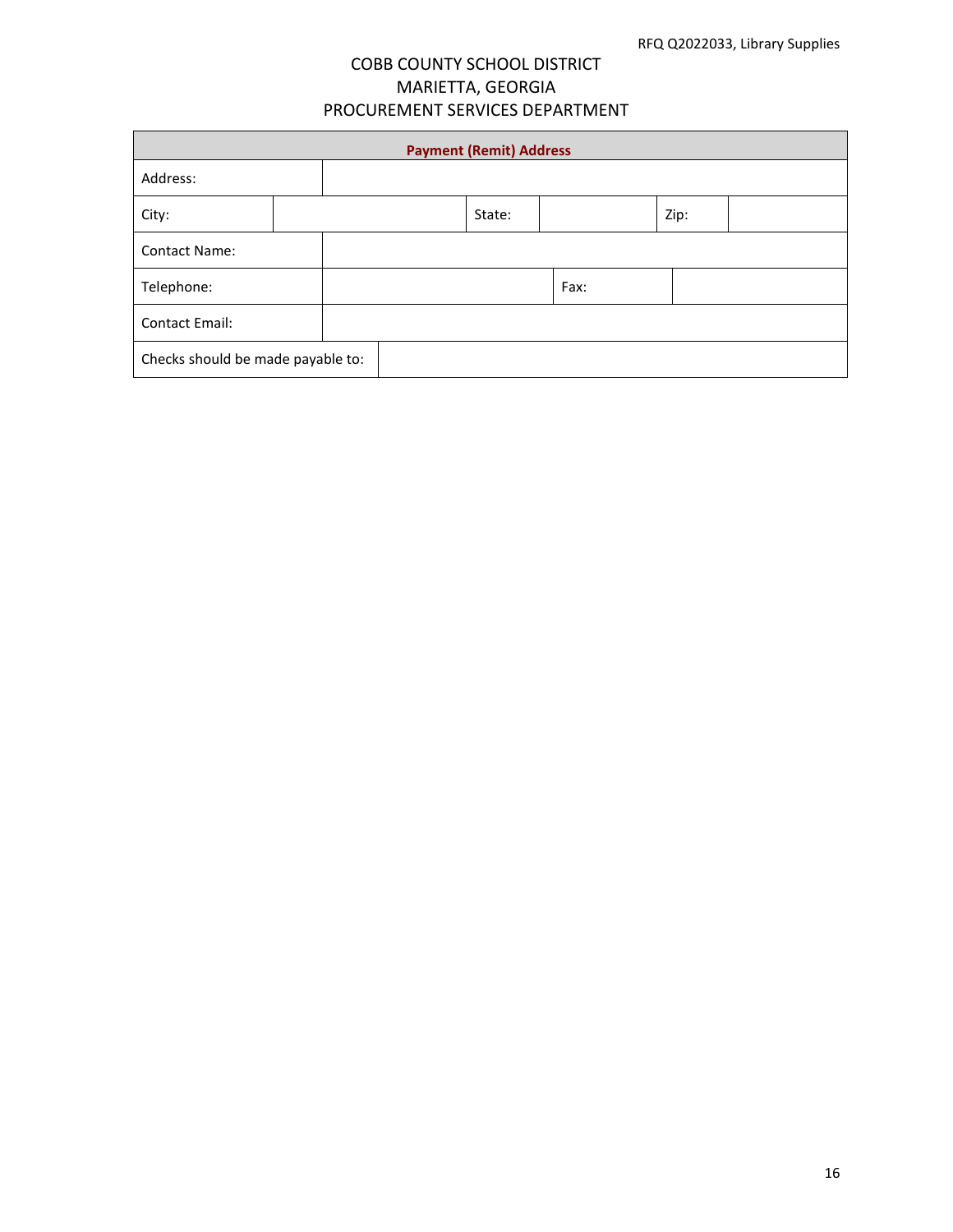| <b>Payment (Remit) Address</b>    |  |  |  |        |  |      |      |  |
|-----------------------------------|--|--|--|--------|--|------|------|--|
| Address:                          |  |  |  |        |  |      |      |  |
| City:                             |  |  |  | State: |  |      | Zip: |  |
| <b>Contact Name:</b>              |  |  |  |        |  |      |      |  |
| Telephone:                        |  |  |  |        |  | Fax: |      |  |
| <b>Contact Email:</b>             |  |  |  |        |  |      |      |  |
| Checks should be made payable to: |  |  |  |        |  |      |      |  |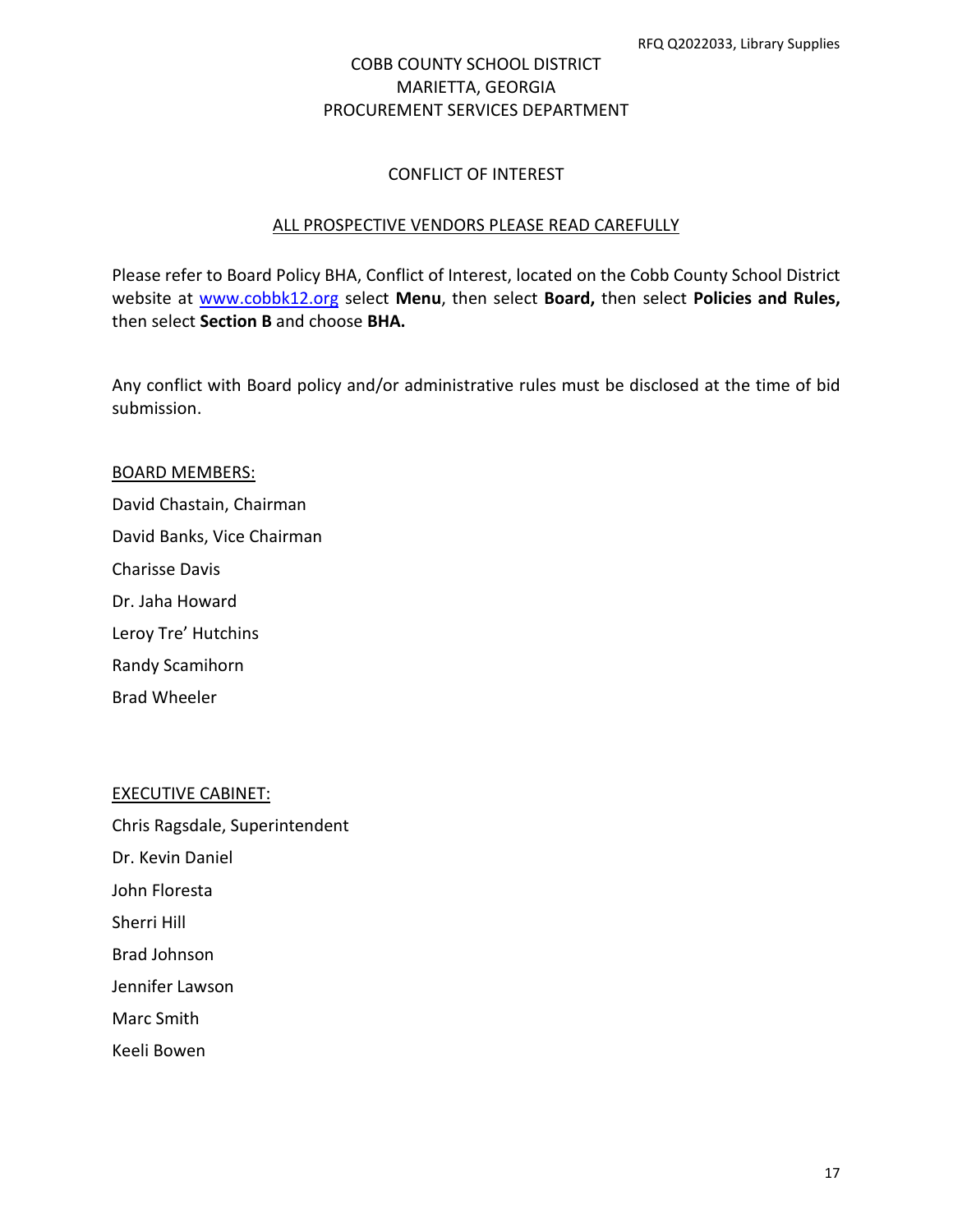#### CONFLICT OF INTEREST

#### ALL PROSPECTIVE VENDORS PLEASE READ CAREFULLY

Please refer to Board Policy BHA, Conflict of Interest, located on the Cobb County School District website at [www.cobbk12.org](http://www.cobbk12.org/) select **Menu**, then select **Board,** then select **Policies and Rules,**  then select **Section B** and choose **BHA.**

Any conflict with Board policy and/or administrative rules must be disclosed at the time of bid submission.

# BOARD MEMBERS: David Chastain, Chairman David Banks, Vice Chairman Charisse Davis Dr. Jaha Howard Leroy Tre' Hutchins Randy Scamihorn

Brad Wheeler

#### EXECUTIVE CABINET:

Chris Ragsdale, Superintendent Dr. Kevin Daniel John Floresta Sherri Hill

Brad Johnson

Jennifer Lawson

Marc Smith

Keeli Bowen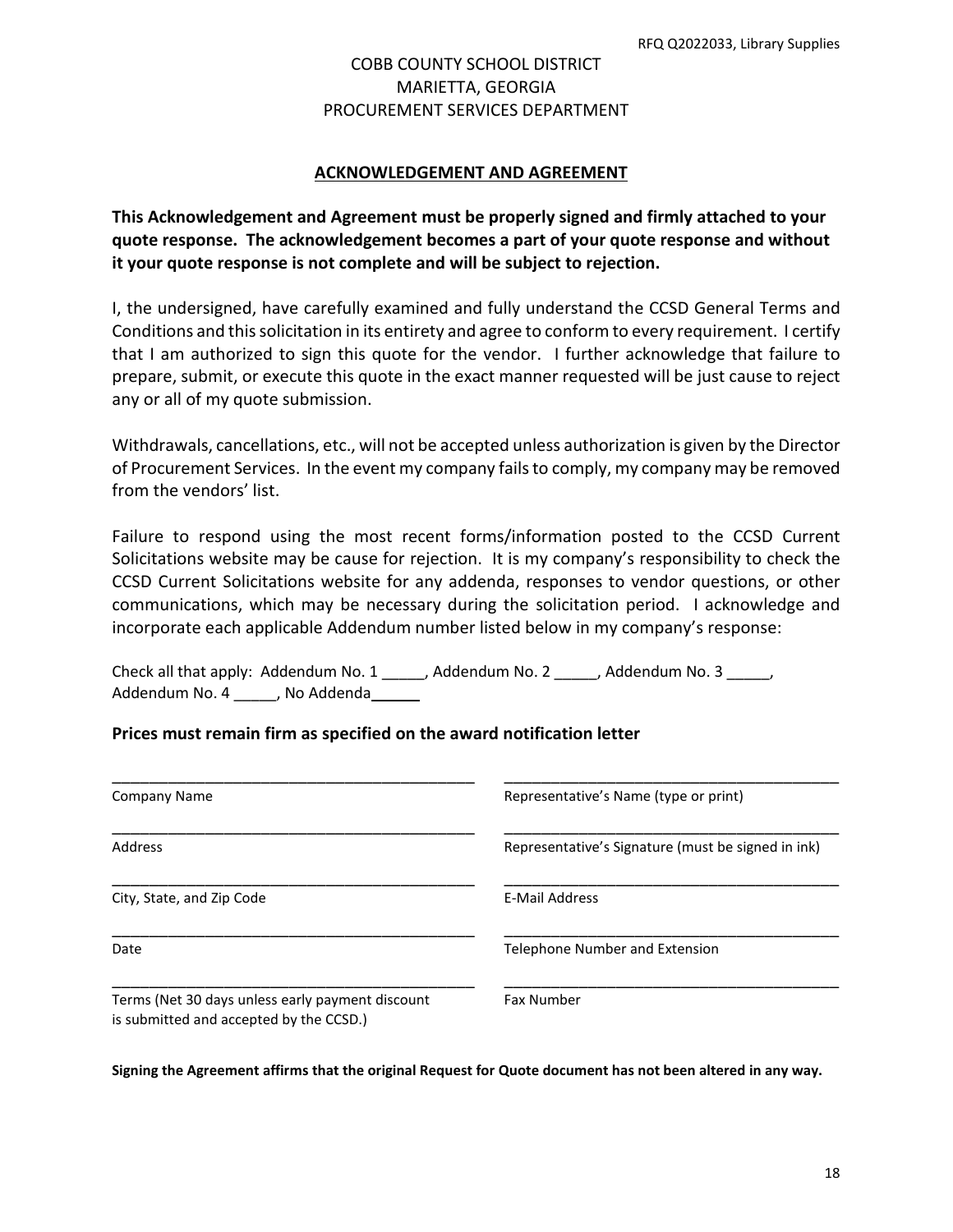#### **ACKNOWLEDGEMENT AND AGREEMENT**

**This Acknowledgement and Agreement must be properly signed and firmly attached to your quote response. The acknowledgement becomes a part of your quote response and without it your quote response is not complete and will be subject to rejection.**

I, the undersigned, have carefully examined and fully understand the CCSD General Terms and Conditions and this solicitation in its entirety and agree to conform to every requirement. I certify that I am authorized to sign this quote for the vendor. I further acknowledge that failure to prepare, submit, or execute this quote in the exact manner requested will be just cause to reject any or all of my quote submission.

Withdrawals, cancellations, etc., will not be accepted unless authorization is given by the Director of Procurement Services. In the event my company fails to comply, my company may be removed from the vendors' list.

Failure to respond using the most recent forms/information posted to the CCSD Current Solicitations website may be cause for rejection. It is my company's responsibility to check the CCSD Current Solicitations website for any addenda, responses to vendor questions, or other communications, which may be necessary during the solicitation period. I acknowledge and incorporate each applicable Addendum number listed below in my company's response:

Check all that apply: Addendum No. 1 \_\_\_\_\_, Addendum No. 2 \_\_\_\_\_, Addendum No. 3 \_\_\_\_\_, Addendum No. 4 \_\_\_\_\_, No Addenda\_\_\_\_\_\_

#### **Prices must remain firm as specified on the award notification letter**

| Company Name                                                                                | Representative's Name (type or print)              |
|---------------------------------------------------------------------------------------------|----------------------------------------------------|
| Address                                                                                     | Representative's Signature (must be signed in ink) |
| City, State, and Zip Code                                                                   | E-Mail Address                                     |
| Date                                                                                        | Telephone Number and Extension                     |
| Terms (Net 30 days unless early payment discount<br>is submitted and accepted by the CCSD.) | <b>Fax Number</b>                                  |

**Signing the Agreement affirms that the original Request for Quote document has not been altered in any way.**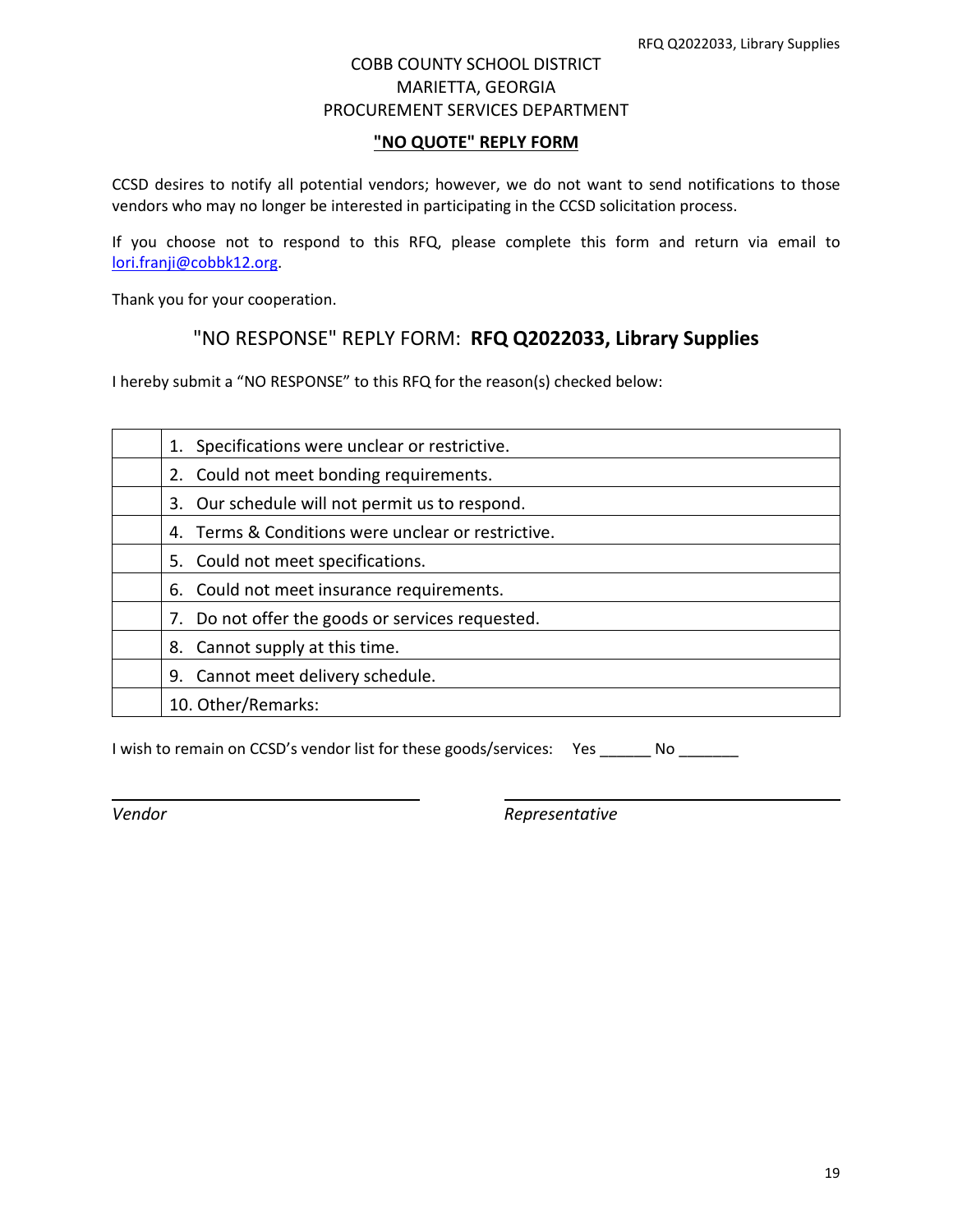#### **"NO QUOTE" REPLY FORM**

CCSD desires to notify all potential vendors; however, we do not want to send notifications to those vendors who may no longer be interested in participating in the CCSD solicitation process.

If you choose not to respond to this RFQ, please complete this form and return via email to [lori.franji@cobbk12.org.](mailto:lori.franji@cobbk12.org)

Thank you for your cooperation.

# "NO RESPONSE" REPLY FORM: **RFQ Q2022033, Library Supplies**

I hereby submit a "NO RESPONSE" to this RFQ for the reason(s) checked below:

| 1. Specifications were unclear or restrictive.      |
|-----------------------------------------------------|
| 2. Could not meet bonding requirements.             |
| 3. Our schedule will not permit us to respond.      |
| 4. Terms & Conditions were unclear or restrictive.  |
| 5. Could not meet specifications.                   |
| 6. Could not meet insurance requirements.           |
| Do not offer the goods or services requested.<br>7. |
| Cannot supply at this time.<br>8.                   |
| Cannot meet delivery schedule.<br>9.                |
| 10. Other/Remarks:                                  |

I wish to remain on CCSD's vendor list for these goods/services: Yes No

*Vendor Representative*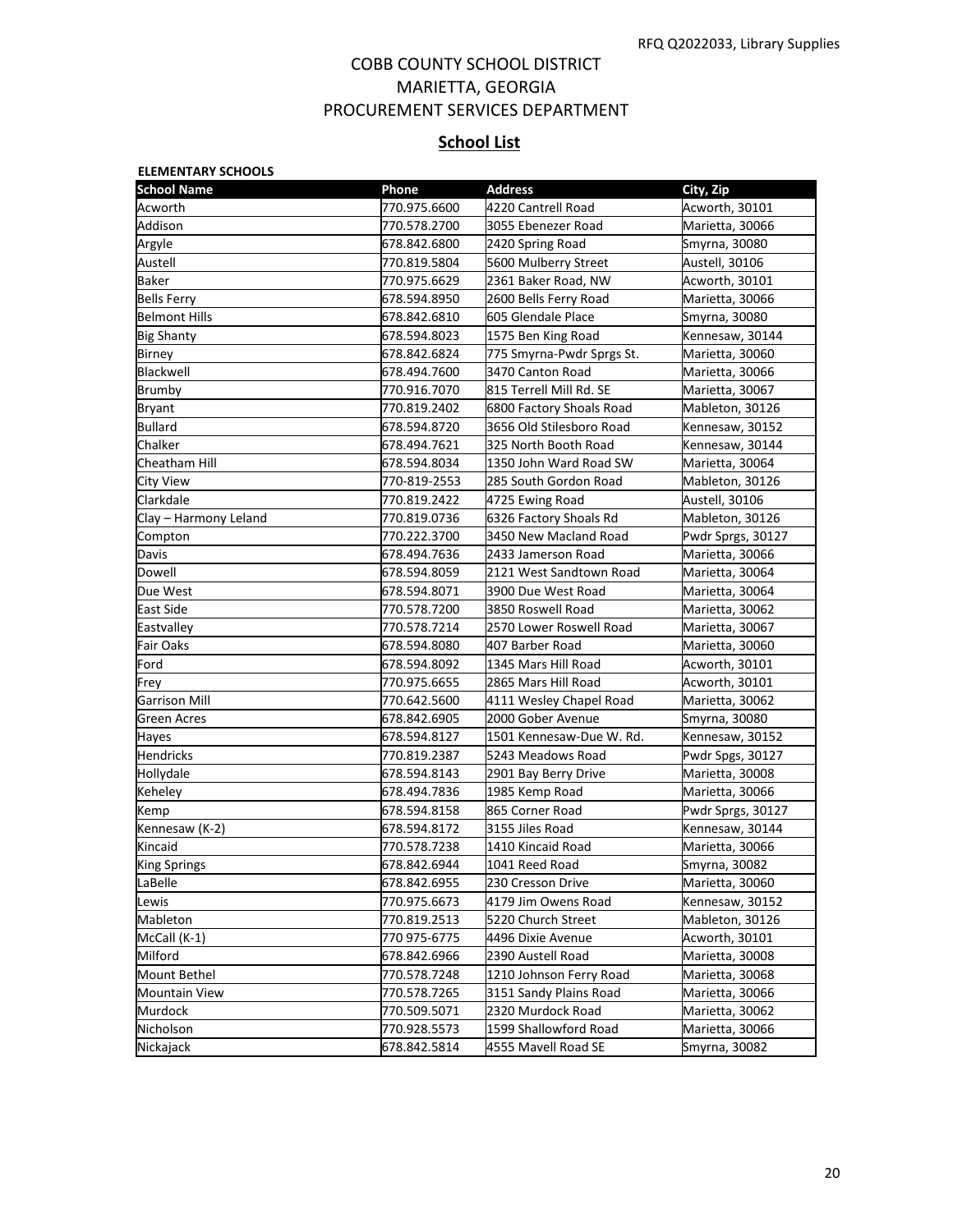# **School List**

| <b>School Name</b>    | Phone        | <b>Address</b>            | City, Zip         |
|-----------------------|--------------|---------------------------|-------------------|
| Acworth               | 770.975.6600 | 4220 Cantrell Road        | Acworth, 30101    |
| Addison               | 770.578.2700 | 3055 Ebenezer Road        | Marietta, 30066   |
| Argyle                | 678.842.6800 | 2420 Spring Road          | Smyrna, 30080     |
| Austell               | 770.819.5804 | 5600 Mulberry Street      | Austell, 30106    |
| Baker                 | 770.975.6629 | 2361 Baker Road, NW       | Acworth, 30101    |
| <b>Bells Ferry</b>    | 678.594.8950 | 2600 Bells Ferry Road     | Marietta, 30066   |
| <b>Belmont Hills</b>  | 678.842.6810 | 605 Glendale Place        | Smyrna, 30080     |
| <b>Big Shanty</b>     | 678.594.8023 | 1575 Ben King Road        | Kennesaw, 30144   |
| <b>Birney</b>         | 678.842.6824 | 775 Smyrna-Pwdr Sprgs St. | Marietta, 30060   |
| Blackwell             | 678.494.7600 | 3470 Canton Road          | Marietta, 30066   |
| Brumby                | 770.916.7070 | 815 Terrell Mill Rd. SE   | Marietta, 30067   |
| Bryant                | 770.819.2402 | 6800 Factory Shoals Road  | Mableton, 30126   |
| <b>Bullard</b>        | 678.594.8720 | 3656 Old Stilesboro Road  | Kennesaw, 30152   |
| Chalker               | 678.494.7621 | 325 North Booth Road      | Kennesaw, 30144   |
| Cheatham Hill         | 678.594.8034 | 1350 John Ward Road SW    | Marietta, 30064   |
| City View             | 770-819-2553 | 285 South Gordon Road     | Mableton, 30126   |
| Clarkdale             | 770.819.2422 | 4725 Ewing Road           | Austell, 30106    |
| Clay – Harmony Leland | 770.819.0736 | 6326 Factory Shoals Rd    | Mableton, 30126   |
| Compton               | 770.222.3700 | 3450 New Macland Road     | Pwdr Sprgs, 30127 |
| Davis                 | 678.494.7636 | 2433 Jamerson Road        | Marietta, 30066   |
| Dowell                | 678.594.8059 | 2121 West Sandtown Road   | Marietta, 30064   |
| Due West              | 678.594.8071 | 3900 Due West Road        | Marietta, 30064   |
| East Side             | 770.578.7200 | 3850 Roswell Road         | Marietta, 30062   |
| Eastvalley            | 770.578.7214 | 2570 Lower Roswell Road   | Marietta, 30067   |
| Fair Oaks             | 678.594.8080 | 407 Barber Road           | Marietta, 30060   |
| Ford                  | 678.594.8092 | 1345 Mars Hill Road       | Acworth, 30101    |
| Frey                  | 770.975.6655 | 2865 Mars Hill Road       | Acworth, 30101    |
| Garrison Mill         | 770.642.5600 | 4111 Wesley Chapel Road   | Marietta, 30062   |
| Green Acres           | 678.842.6905 | 2000 Gober Avenue         | Smyrna, 30080     |
| Hayes                 | 678.594.8127 | 1501 Kennesaw-Due W. Rd.  | Kennesaw, 30152   |
| <b>Hendricks</b>      | 770.819.2387 | 5243 Meadows Road         | Pwdr Spgs, 30127  |
| Hollydale             | 678.594.8143 | 2901 Bay Berry Drive      | Marietta, 30008   |
| Keheley               | 678.494.7836 | 1985 Kemp Road            | Marietta, 30066   |
| Kemp                  | 678.594.8158 | 865 Corner Road           | Pwdr Sprgs, 30127 |
| Kennesaw (K-2)        | 678.594.8172 | 3155 Jiles Road           | Kennesaw, 30144   |
| Kincaid               | 770.578.7238 | 1410 Kincaid Road         | Marietta, 30066   |
| <b>King Springs</b>   | 678.842.6944 | 1041 Reed Road            | Smyrna, 30082     |
| LaBelle               | 678.842.6955 | 230 Cresson Drive         | Marietta, 30060   |
| Lewis                 | 770.975.6673 | 4179 Jim Owens Road       | Kennesaw, 30152   |
| Mableton              | 770.819.2513 | 5220 Church Street        | Mableton, 30126   |
| McCall (K-1)          | 770 975-6775 | 4496 Dixie Avenue         | Acworth, 30101    |
| Milford               | 678.842.6966 | 2390 Austell Road         | Marietta, 30008   |
| <b>Mount Bethel</b>   | 770.578.7248 | 1210 Johnson Ferry Road   | Marietta, 30068   |
| <b>Mountain View</b>  | 770.578.7265 | 3151 Sandy Plains Road    | Marietta, 30066   |
| Murdock               | 770.509.5071 | 2320 Murdock Road         | Marietta, 30062   |
| Nicholson             | 770.928.5573 | 1599 Shallowford Road     | Marietta, 30066   |
| Nickajack             | 678.842.5814 | 4555 Mavell Road SE       | Smyrna, 30082     |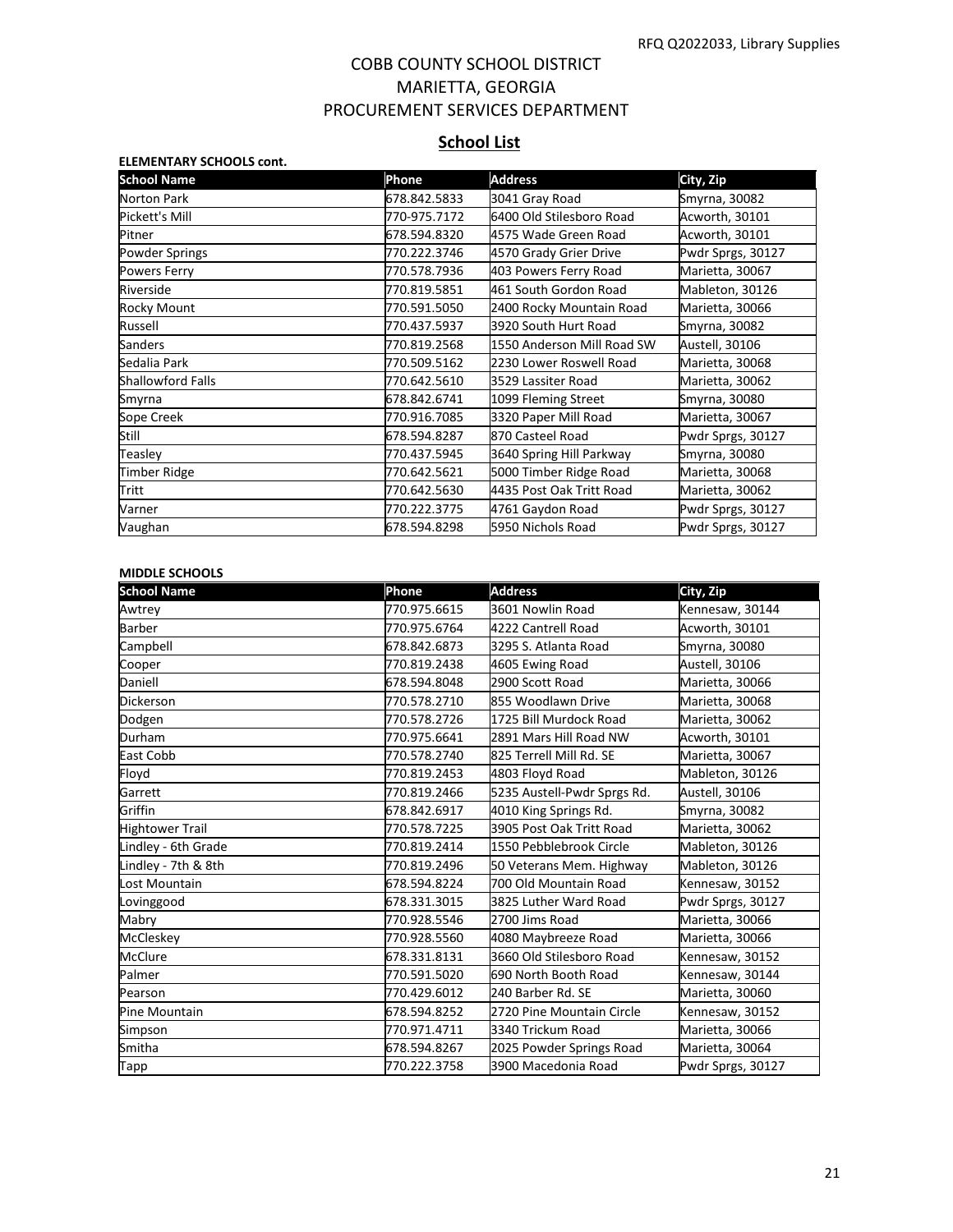# **School List**

| <b>ELEMENTARY SCHOOLS cont.</b> |              |                            |                   |
|---------------------------------|--------------|----------------------------|-------------------|
| <b>School Name</b>              | Phone        | <b>Address</b>             | City, Zip         |
| Norton Park                     | 678.842.5833 | 3041 Gray Road             | Smyrna, 30082     |
| Pickett's Mill                  | 770-975.7172 | 6400 Old Stilesboro Road   | Acworth, 30101    |
| Pitner                          | 678.594.8320 | 4575 Wade Green Road       | Acworth, 30101    |
| <b>Powder Springs</b>           | 770.222.3746 | 4570 Grady Grier Drive     | Pwdr Sprgs, 30127 |
| Powers Ferry                    | 770.578.7936 | 403 Powers Ferry Road      | Marietta, 30067   |
| Riverside                       | 770.819.5851 | 461 South Gordon Road      | Mableton, 30126   |
| Rocky Mount                     | 770.591.5050 | 2400 Rocky Mountain Road   | Marietta, 30066   |
| Russell                         | 770.437.5937 | 3920 South Hurt Road       | Smyrna, 30082     |
| <b>Sanders</b>                  | 770.819.2568 | 1550 Anderson Mill Road SW | Austell, 30106    |
| Sedalia Park                    | 770.509.5162 | 2230 Lower Roswell Road    | Marietta, 30068   |
| <b>Shallowford Falls</b>        | 770.642.5610 | 3529 Lassiter Road         | Marietta, 30062   |
| Smyrna                          | 678.842.6741 | 1099 Fleming Street        | Smyrna, 30080     |
| Sope Creek                      | 770.916.7085 | 3320 Paper Mill Road       | Marietta, 30067   |
| Still                           | 678.594.8287 | 870 Casteel Road           | Pwdr Sprgs, 30127 |
| Teasley                         | 770.437.5945 | 3640 Spring Hill Parkway   | Smyrna, 30080     |
| Timber Ridge                    | 770.642.5621 | 5000 Timber Ridge Road     | Marietta, 30068   |
| Tritt                           | 770.642.5630 | 4435 Post Oak Tritt Road   | Marietta, 30062   |
| Varner                          | 770.222.3775 | 4761 Gaydon Road           | Pwdr Sprgs, 30127 |
| Vaughan                         | 678.594.8298 | 5950 Nichols Road          | Pwdr Sprgs, 30127 |

#### **MIDDLE SCHOOLS**

| <b>School Name</b>     | Phone        | <b>Address</b>              | City, Zip         |
|------------------------|--------------|-----------------------------|-------------------|
| Awtrey                 | 770.975.6615 | 3601 Nowlin Road            | Kennesaw, 30144   |
| <b>Barber</b>          | 770.975.6764 | 4222 Cantrell Road          | Acworth, 30101    |
| Campbell               | 678.842.6873 | 3295 S. Atlanta Road        | Smyrna, 30080     |
| Cooper                 | 770.819.2438 | 4605 Ewing Road             | Austell, 30106    |
| Daniell                | 678.594.8048 | 2900 Scott Road             | Marietta, 30066   |
| Dickerson              | 770.578.2710 | 855 Woodlawn Drive          | Marietta, 30068   |
| Dodgen                 | 770.578.2726 | 1725 Bill Murdock Road      | Marietta, 30062   |
| Durham                 | 770.975.6641 | 2891 Mars Hill Road NW      | Acworth, 30101    |
| East Cobb              | 770.578.2740 | 825 Terrell Mill Rd. SE     | Marietta, 30067   |
| Floyd                  | 770.819.2453 | 4803 Floyd Road             | Mableton, 30126   |
| Garrett                | 770.819.2466 | 5235 Austell-Pwdr Sprgs Rd. | Austell, 30106    |
| Griffin                | 678.842.6917 | 4010 King Springs Rd.       | Smyrna, 30082     |
| <b>Hightower Trail</b> | 770.578.7225 | 3905 Post Oak Tritt Road    | Marietta, 30062   |
| Lindley - 6th Grade    | 770.819.2414 | 1550 Pebblebrook Circle     | Mableton, 30126   |
| Lindley - 7th & 8th    | 770.819.2496 | 50 Veterans Mem. Highway    | Mableton, 30126   |
| Lost Mountain          | 678.594.8224 | 700 Old Mountain Road       | Kennesaw, 30152   |
| Lovinggood             | 678.331.3015 | 3825 Luther Ward Road       | Pwdr Sprgs, 30127 |
| Mabry                  | 770.928.5546 | 2700 Jims Road              | Marietta, 30066   |
| McCleskey              | 770.928.5560 | 4080 Maybreeze Road         | Marietta, 30066   |
| <b>McClure</b>         | 678.331.8131 | 3660 Old Stilesboro Road    | Kennesaw, 30152   |
| Palmer                 | 770.591.5020 | 690 North Booth Road        | Kennesaw, 30144   |
| Pearson                | 770.429.6012 | 240 Barber Rd. SE           | Marietta, 30060   |
| Pine Mountain          | 678.594.8252 | 2720 Pine Mountain Circle   | Kennesaw, 30152   |
| Simpson                | 770.971.4711 | 3340 Trickum Road           | Marietta, 30066   |
| Smitha                 | 678.594.8267 | 2025 Powder Springs Road    | Marietta, 30064   |
| Tapp                   | 770.222.3758 | 3900 Macedonia Road         | Pwdr Sprgs, 30127 |